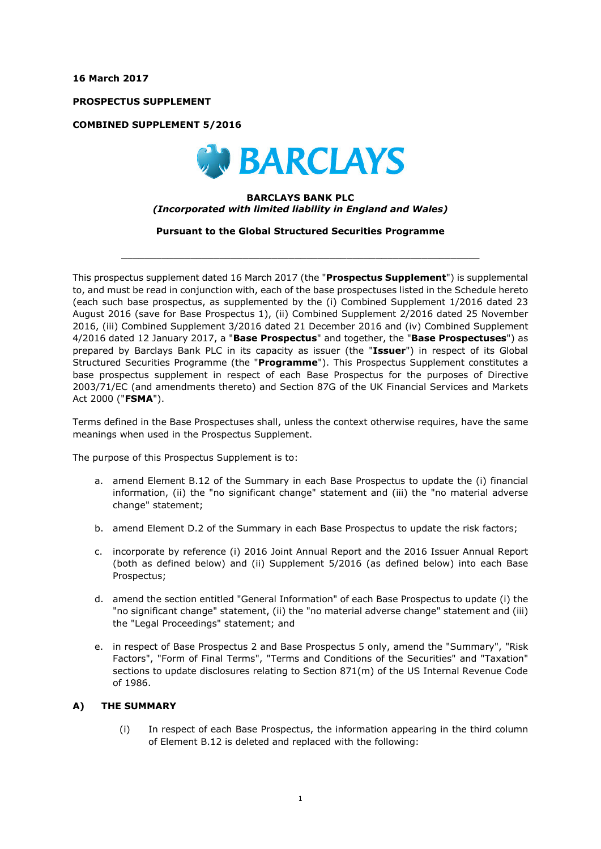**16 March 2017** 

**PROSPECTUS SUPPLEMENT** 

**COMBINED SUPPLEMENT 5/2016** 



### **BARCLAYS BANK PLC**  *(Incorporated with limited liability in England and Wales)*

**Pursuant to the Global Structured Securities Programme** 

\_\_\_\_\_\_\_\_\_\_\_\_\_\_\_\_\_\_\_\_\_\_\_\_\_\_\_\_\_\_\_\_\_\_\_\_\_\_\_\_\_\_\_\_\_\_\_\_\_\_\_\_\_\_\_\_\_\_\_\_\_\_

This prospectus supplement dated 16 March 2017 (the "**Prospectus Supplement**") is supplemental to, and must be read in conjunction with, each of the base prospectuses listed in the Schedule hereto (each such base prospectus, as supplemented by the (i) Combined Supplement 1/2016 dated 23 August 2016 (save for Base Prospectus 1), (ii) Combined Supplement 2/2016 dated 25 November 2016, (iii) Combined Supplement 3/2016 dated 21 December 2016 and (iv) Combined Supplement 4/2016 dated 12 January 2017, a "**Base Prospectus**" and together, the "**Base Prospectuses**") as prepared by Barclays Bank PLC in its capacity as issuer (the "**Issuer**") in respect of its Global Structured Securities Programme (the "**Programme**"). This Prospectus Supplement constitutes a base prospectus supplement in respect of each Base Prospectus for the purposes of Directive 2003/71/EC (and amendments thereto) and Section 87G of the UK Financial Services and Markets Act 2000 ("**FSMA**").

Terms defined in the Base Prospectuses shall, unless the context otherwise requires, have the same meanings when used in the Prospectus Supplement.

The purpose of this Prospectus Supplement is to:

- a. amend Element B.12 of the Summary in each Base Prospectus to update the (i) financial information, (ii) the "no significant change" statement and (iii) the "no material adverse change" statement;
- b. amend Element D.2 of the Summary in each Base Prospectus to update the risk factors;
- c. incorporate by reference (i) 2016 Joint Annual Report and the 2016 Issuer Annual Report (both as defined below) and (ii) Supplement 5/2016 (as defined below) into each Base Prospectus;
- d. amend the section entitled "General Information" of each Base Prospectus to update (i) the "no significant change" statement, (ii) the "no material adverse change" statement and (iii) the "Legal Proceedings" statement; and
- e. in respect of Base Prospectus 2 and Base Prospectus 5 only, amend the "Summary", "Risk Factors", "Form of Final Terms", "Terms and Conditions of the Securities" and "Taxation" sections to update disclosures relating to Section 871(m) of the US Internal Revenue Code of 1986.

#### **A) THE SUMMARY**

(i) In respect of each Base Prospectus, the information appearing in the third column of Element B.12 is deleted and replaced with the following: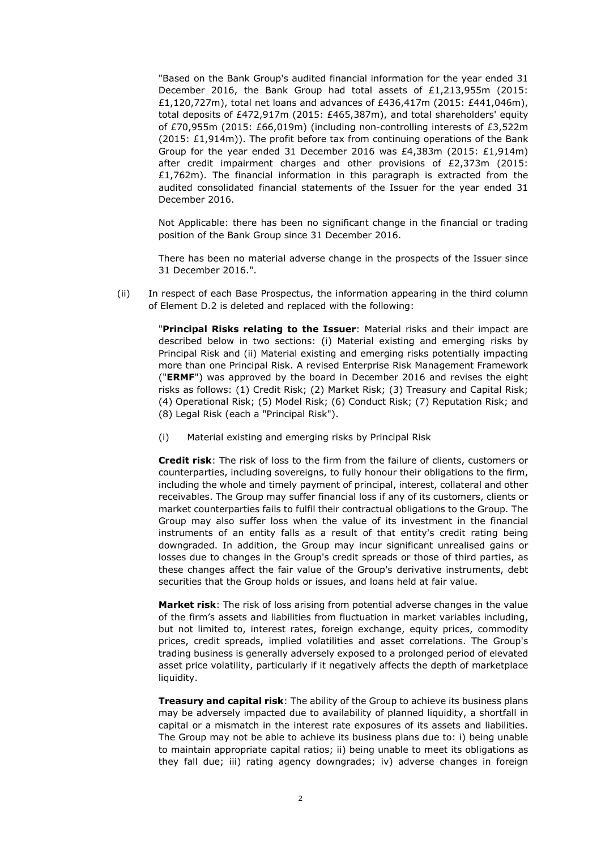"Based on the Bank Group's audited financial information for the year ended 31 December 2016, the Bank Group had total assets of £1,213,955m (2015: £1,120,727m), total net loans and advances of £436,417m (2015: £441,046m), total deposits of £472,917m (2015: £465,387m), and total shareholders' equity of £70,955m (2015: £66,019m) (including non-controlling interests of £3,522m  $(2015; \text{£}1.914m)$ . The profit before tax from continuing operations of the Bank Group for the year ended 31 December 2016 was £4,383m (2015: £1,914m) after credit impairment charges and other provisions of £2,373m (2015: £1,762m). The financial information in this paragraph is extracted from the audited consolidated financial statements of the Issuer for the year ended 31 December 2016.

Not Applicable: there has been no significant change in the financial or trading position of the Bank Group since 31 December 2016.

There has been no material adverse change in the prospects of the Issuer since 31 December 2016.".

(ii) In respect of each Base Prospectus, the information appearing in the third column of Element D.2 is deleted and replaced with the following:

> "**Principal Risks relating to the Issuer**: Material risks and their impact are described below in two sections: (i) Material existing and emerging risks by Principal Risk and (ii) Material existing and emerging risks potentially impacting more than one Principal Risk. A revised Enterprise Risk Management Framework ("**ERMF**") was approved by the board in December 2016 and revises the eight risks as follows: (1) Credit Risk; (2) Market Risk; (3) Treasury and Capital Risk; (4) Operational Risk; (5) Model Risk; (6) Conduct Risk; (7) Reputation Risk; and (8) Legal Risk (each a "Principal Risk").

(i) Material existing and emerging risks by Principal Risk

**Credit risk**: The risk of loss to the firm from the failure of clients, customers or counterparties, including sovereigns, to fully honour their obligations to the firm, including the whole and timely payment of principal, interest, collateral and other receivables. The Group may suffer financial loss if any of its customers, clients or market counterparties fails to fulfil their contractual obligations to the Group. The Group may also suffer loss when the value of its investment in the financial instruments of an entity falls as a result of that entity's credit rating being downgraded. In addition, the Group may incur significant unrealised gains or losses due to changes in the Group's credit spreads or those of third parties, as these changes affect the fair value of the Group's derivative instruments, debt securities that the Group holds or issues, and loans held at fair value.

**Market risk**: The risk of loss arising from potential adverse changes in the value of the firm's assets and liabilities from fluctuation in market variables including, but not limited to, interest rates, foreign exchange, equity prices, commodity prices, credit spreads, implied volatilities and asset correlations. The Group's trading business is generally adversely exposed to a prolonged period of elevated asset price volatility, particularly if it negatively affects the depth of marketplace liquidity.

**Treasury and capital risk**: The ability of the Group to achieve its business plans may be adversely impacted due to availability of planned liquidity, a shortfall in capital or a mismatch in the interest rate exposures of its assets and liabilities. The Group may not be able to achieve its business plans due to: i) being unable to maintain appropriate capital ratios; ii) being unable to meet its obligations as they fall due; iii) rating agency downgrades; iv) adverse changes in foreign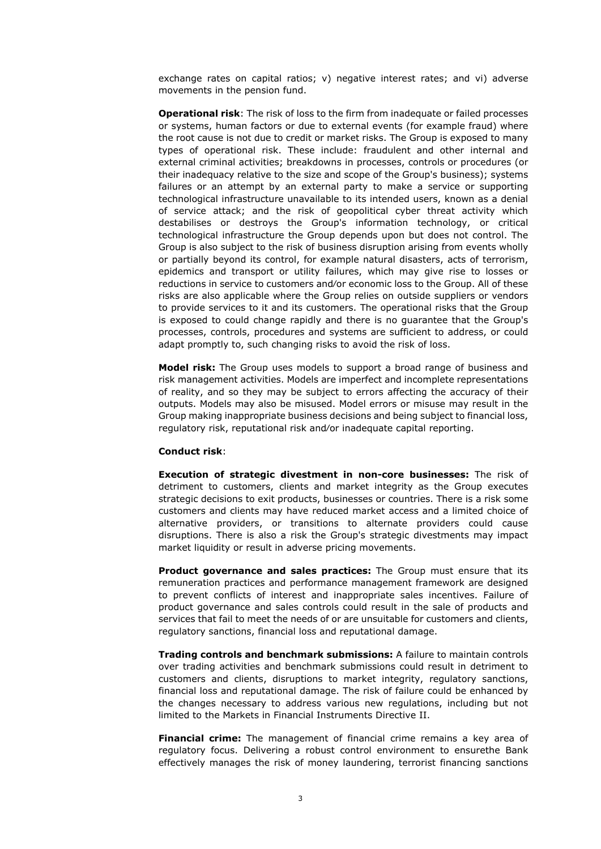exchange rates on capital ratios; v) negative interest rates; and vi) adverse movements in the pension fund.

**Operational risk**: The risk of loss to the firm from inadequate or failed processes or systems, human factors or due to external events (for example fraud) where the root cause is not due to credit or market risks. The Group is exposed to many types of operational risk. These include: fraudulent and other internal and external criminal activities; breakdowns in processes, controls or procedures (or their inadequacy relative to the size and scope of the Group's business); systems failures or an attempt by an external party to make a service or supporting technological infrastructure unavailable to its intended users, known as a denial of service attack; and the risk of geopolitical cyber threat activity which destabilises or destroys the Group's information technology, or critical technological infrastructure the Group depends upon but does not control. The Group is also subject to the risk of business disruption arising from events wholly or partially beyond its control, for example natural disasters, acts of terrorism, epidemics and transport or utility failures, which may give rise to losses or reductions in service to customers and⁄or economic loss to the Group. All of these risks are also applicable where the Group relies on outside suppliers or vendors to provide services to it and its customers. The operational risks that the Group is exposed to could change rapidly and there is no guarantee that the Group's processes, controls, procedures and systems are sufficient to address, or could adapt promptly to, such changing risks to avoid the risk of loss.

**Model risk:** The Group uses models to support a broad range of business and risk management activities. Models are imperfect and incomplete representations of reality, and so they may be subject to errors affecting the accuracy of their outputs. Models may also be misused. Model errors or misuse may result in the Group making inappropriate business decisions and being subject to financial loss, regulatory risk, reputational risk and⁄or inadequate capital reporting.

#### **Conduct risk**:

**Execution of strategic divestment in non-core businesses:** The risk of detriment to customers, clients and market integrity as the Group executes strategic decisions to exit products, businesses or countries. There is a risk some customers and clients may have reduced market access and a limited choice of alternative providers, or transitions to alternate providers could cause disruptions. There is also a risk the Group's strategic divestments may impact market liquidity or result in adverse pricing movements.

**Product governance and sales practices:** The Group must ensure that its remuneration practices and performance management framework are designed to prevent conflicts of interest and inappropriate sales incentives. Failure of product governance and sales controls could result in the sale of products and services that fail to meet the needs of or are unsuitable for customers and clients, regulatory sanctions, financial loss and reputational damage.

**Trading controls and benchmark submissions:** A failure to maintain controls over trading activities and benchmark submissions could result in detriment to customers and clients, disruptions to market integrity, regulatory sanctions, financial loss and reputational damage. The risk of failure could be enhanced by the changes necessary to address various new regulations, including but not limited to the Markets in Financial Instruments Directive II.

**Financial crime:** The management of financial crime remains a key area of regulatory focus. Delivering a robust control environment to ensurethe Bank effectively manages the risk of money laundering, terrorist financing sanctions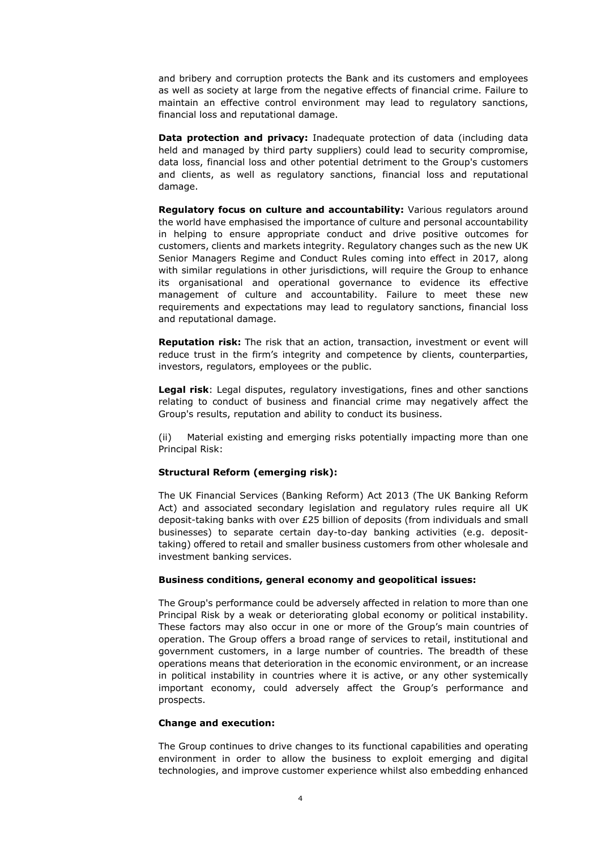and bribery and corruption protects the Bank and its customers and employees as well as society at large from the negative effects of financial crime. Failure to maintain an effective control environment may lead to regulatory sanctions, financial loss and reputational damage.

**Data protection and privacy:** Inadequate protection of data (including data held and managed by third party suppliers) could lead to security compromise, data loss, financial loss and other potential detriment to the Group's customers and clients, as well as regulatory sanctions, financial loss and reputational damage.

**Regulatory focus on culture and accountability:** Various regulators around the world have emphasised the importance of culture and personal accountability in helping to ensure appropriate conduct and drive positive outcomes for customers, clients and markets integrity. Regulatory changes such as the new UK Senior Managers Regime and Conduct Rules coming into effect in 2017, along with similar regulations in other jurisdictions, will require the Group to enhance its organisational and operational governance to evidence its effective management of culture and accountability. Failure to meet these new requirements and expectations may lead to regulatory sanctions, financial loss and reputational damage.

**Reputation risk:** The risk that an action, transaction, investment or event will reduce trust in the firm's integrity and competence by clients, counterparties, investors, regulators, employees or the public.

**Legal risk**: Legal disputes, regulatory investigations, fines and other sanctions relating to conduct of business and financial crime may negatively affect the Group's results, reputation and ability to conduct its business.

(ii) Material existing and emerging risks potentially impacting more than one Principal Risk:

#### **Structural Reform (emerging risk):**

The UK Financial Services (Banking Reform) Act 2013 (The UK Banking Reform Act) and associated secondary legislation and regulatory rules require all UK deposit-taking banks with over £25 billion of deposits (from individuals and small businesses) to separate certain day-to-day banking activities (e.g. deposittaking) offered to retail and smaller business customers from other wholesale and investment banking services.

#### **Business conditions, general economy and geopolitical issues:**

The Group's performance could be adversely affected in relation to more than one Principal Risk by a weak or deteriorating global economy or political instability. These factors may also occur in one or more of the Group's main countries of operation. The Group offers a broad range of services to retail, institutional and government customers, in a large number of countries. The breadth of these operations means that deterioration in the economic environment, or an increase in political instability in countries where it is active, or any other systemically important economy, could adversely affect the Group's performance and prospects.

#### **Change and execution:**

The Group continues to drive changes to its functional capabilities and operating environment in order to allow the business to exploit emerging and digital technologies, and improve customer experience whilst also embedding enhanced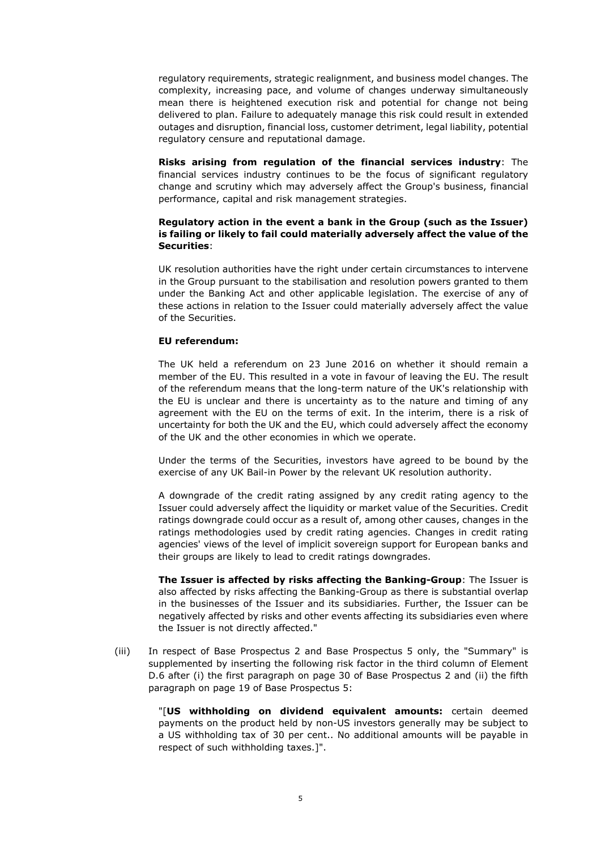regulatory requirements, strategic realignment, and business model changes. The complexity, increasing pace, and volume of changes underway simultaneously mean there is heightened execution risk and potential for change not being delivered to plan. Failure to adequately manage this risk could result in extended outages and disruption, financial loss, customer detriment, legal liability, potential regulatory censure and reputational damage.

**Risks arising from regulation of the financial services industry**: The financial services industry continues to be the focus of significant regulatory change and scrutiny which may adversely affect the Group's business, financial performance, capital and risk management strategies.

## **Regulatory action in the event a bank in the Group (such as the Issuer) is failing or likely to fail could materially adversely affect the value of the Securities**:

UK resolution authorities have the right under certain circumstances to intervene in the Group pursuant to the stabilisation and resolution powers granted to them under the Banking Act and other applicable legislation. The exercise of any of these actions in relation to the Issuer could materially adversely affect the value of the Securities.

#### **EU referendum:**

The UK held a referendum on 23 June 2016 on whether it should remain a member of the EU. This resulted in a vote in favour of leaving the EU. The result of the referendum means that the long-term nature of the UK's relationship with the EU is unclear and there is uncertainty as to the nature and timing of any agreement with the EU on the terms of exit. In the interim, there is a risk of uncertainty for both the UK and the EU, which could adversely affect the economy of the UK and the other economies in which we operate.

Under the terms of the Securities, investors have agreed to be bound by the exercise of any UK Bail-in Power by the relevant UK resolution authority.

A downgrade of the credit rating assigned by any credit rating agency to the Issuer could adversely affect the liquidity or market value of the Securities. Credit ratings downgrade could occur as a result of, among other causes, changes in the ratings methodologies used by credit rating agencies. Changes in credit rating agencies' views of the level of implicit sovereign support for European banks and their groups are likely to lead to credit ratings downgrades.

**The Issuer is affected by risks affecting the Banking-Group**: The Issuer is also affected by risks affecting the Banking-Group as there is substantial overlap in the businesses of the Issuer and its subsidiaries. Further, the Issuer can be negatively affected by risks and other events affecting its subsidiaries even where the Issuer is not directly affected."

(iii) In respect of Base Prospectus 2 and Base Prospectus 5 only, the "Summary" is supplemented by inserting the following risk factor in the third column of Element D.6 after (i) the first paragraph on page 30 of Base Prospectus 2 and (ii) the fifth paragraph on page 19 of Base Prospectus 5:

> "[**US withholding on dividend equivalent amounts:** certain deemed payments on the product held by non-US investors generally may be subject to a US withholding tax of 30 per cent.. No additional amounts will be payable in respect of such withholding taxes.]".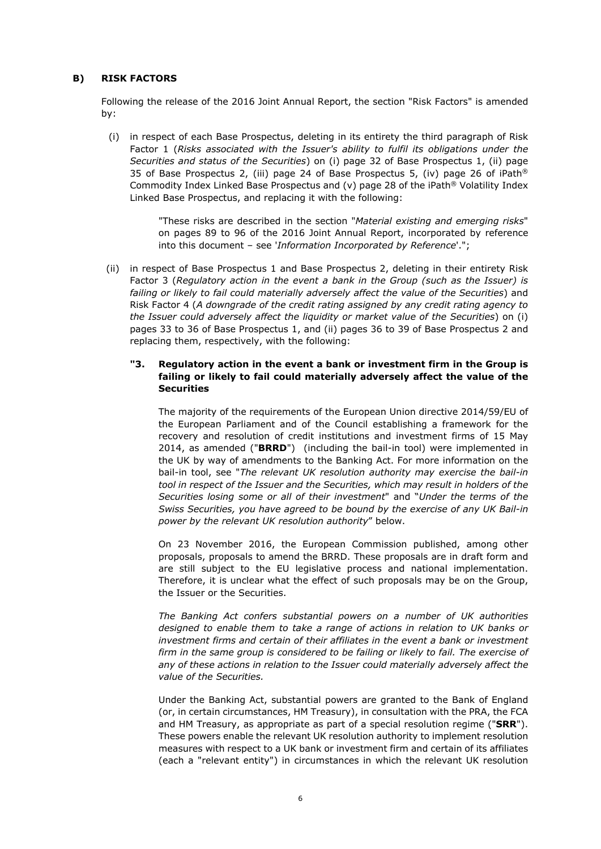## **B) RISK FACTORS**

Following the release of the 2016 Joint Annual Report, the section "Risk Factors" is amended by:

(i) in respect of each Base Prospectus, deleting in its entirety the third paragraph of Risk Factor 1 (*Risks associated with the Issuer's ability to fulfil its obligations under the Securities and status of the Securities*) on (i) page 32 of Base Prospectus 1, (ii) page 35 of Base Prospectus 2, (iii) page 24 of Base Prospectus 5, (iv) page 26 of iPath® Commodity Index Linked Base Prospectus and  $(v)$  page 28 of the iPath® Volatility Index Linked Base Prospectus, and replacing it with the following:

> "These risks are described in the section "*Material existing and emerging risks*" on pages 89 to 96 of the 2016 Joint Annual Report, incorporated by reference into this document – see '*Information Incorporated by Reference*'.";

(ii) in respect of Base Prospectus 1 and Base Prospectus 2, deleting in their entirety Risk Factor 3 (*Regulatory action in the event a bank in the Group (such as the Issuer) is failing or likely to fail could materially adversely affect the value of the Securities*) and Risk Factor 4 (*A downgrade of the credit rating assigned by any credit rating agency to the Issuer could adversely affect the liquidity or market value of the Securities*) on (i) pages 33 to 36 of Base Prospectus 1, and (ii) pages 36 to 39 of Base Prospectus 2 and replacing them, respectively, with the following:

## **"3. Regulatory action in the event a bank or investment firm in the Group is failing or likely to fail could materially adversely affect the value of the Securities**

The majority of the requirements of the European Union directive 2014/59/EU of the European Parliament and of the Council establishing a framework for the recovery and resolution of credit institutions and investment firms of 15 May 2014, as amended ("**BRRD**") (including the bail-in tool) were implemented in the UK by way of amendments to the Banking Act. For more information on the bail-in tool, see "*The relevant UK resolution authority may exercise the bail-in tool in respect of the Issuer and the Securities, which may result in holders of the Securities losing some or all of their investment*" and "*Under the terms of the Swiss Securities, you have agreed to be bound by the exercise of any UK Bail-in power by the relevant UK resolution authority*" below.

On 23 November 2016, the European Commission published, among other proposals, proposals to amend the BRRD. These proposals are in draft form and are still subject to the EU legislative process and national implementation. Therefore, it is unclear what the effect of such proposals may be on the Group, the Issuer or the Securities.

*The Banking Act confers substantial powers on a number of UK authorities*  designed to enable them to take a range of actions in relation to UK banks or *investment firms and certain of their affiliates in the event a bank or investment firm in the same group is considered to be failing or likely to fail. The exercise of any of these actions in relation to the Issuer could materially adversely affect the value of the Securities.* 

Under the Banking Act, substantial powers are granted to the Bank of England (or, in certain circumstances, HM Treasury), in consultation with the PRA, the FCA and HM Treasury, as appropriate as part of a special resolution regime ("**SRR**"). These powers enable the relevant UK resolution authority to implement resolution measures with respect to a UK bank or investment firm and certain of its affiliates (each a "relevant entity") in circumstances in which the relevant UK resolution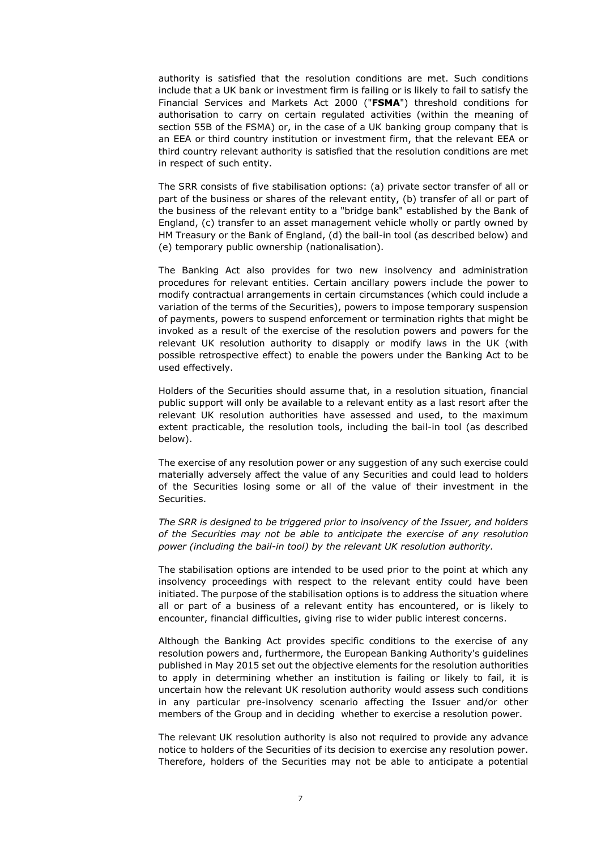authority is satisfied that the resolution conditions are met. Such conditions include that a UK bank or investment firm is failing or is likely to fail to satisfy the Financial Services and Markets Act 2000 ("**FSMA**") threshold conditions for authorisation to carry on certain regulated activities (within the meaning of section 55B of the FSMA) or, in the case of a UK banking group company that is an EEA or third country institution or investment firm, that the relevant EEA or third country relevant authority is satisfied that the resolution conditions are met in respect of such entity.

The SRR consists of five stabilisation options: (a) private sector transfer of all or part of the business or shares of the relevant entity, (b) transfer of all or part of the business of the relevant entity to a "bridge bank" established by the Bank of England, (c) transfer to an asset management vehicle wholly or partly owned by HM Treasury or the Bank of England, (d) the bail-in tool (as described below) and (e) temporary public ownership (nationalisation).

The Banking Act also provides for two new insolvency and administration procedures for relevant entities. Certain ancillary powers include the power to modify contractual arrangements in certain circumstances (which could include a variation of the terms of the Securities), powers to impose temporary suspension of payments, powers to suspend enforcement or termination rights that might be invoked as a result of the exercise of the resolution powers and powers for the relevant UK resolution authority to disapply or modify laws in the UK (with possible retrospective effect) to enable the powers under the Banking Act to be used effectively.

Holders of the Securities should assume that, in a resolution situation, financial public support will only be available to a relevant entity as a last resort after the relevant UK resolution authorities have assessed and used, to the maximum extent practicable, the resolution tools, including the bail-in tool (as described below).

The exercise of any resolution power or any suggestion of any such exercise could materially adversely affect the value of any Securities and could lead to holders of the Securities losing some or all of the value of their investment in the Securities.

*The SRR is designed to be triggered prior to insolvency of the Issuer, and holders of the Securities may not be able to anticipate the exercise of any resolution power (including the bail-in tool) by the relevant UK resolution authority.* 

The stabilisation options are intended to be used prior to the point at which any insolvency proceedings with respect to the relevant entity could have been initiated. The purpose of the stabilisation options is to address the situation where all or part of a business of a relevant entity has encountered, or is likely to encounter, financial difficulties, giving rise to wider public interest concerns.

Although the Banking Act provides specific conditions to the exercise of any resolution powers and, furthermore, the European Banking Authority's guidelines published in May 2015 set out the objective elements for the resolution authorities to apply in determining whether an institution is failing or likely to fail, it is uncertain how the relevant UK resolution authority would assess such conditions in any particular pre-insolvency scenario affecting the Issuer and/or other members of the Group and in deciding whether to exercise a resolution power.

The relevant UK resolution authority is also not required to provide any advance notice to holders of the Securities of its decision to exercise any resolution power. Therefore, holders of the Securities may not be able to anticipate a potential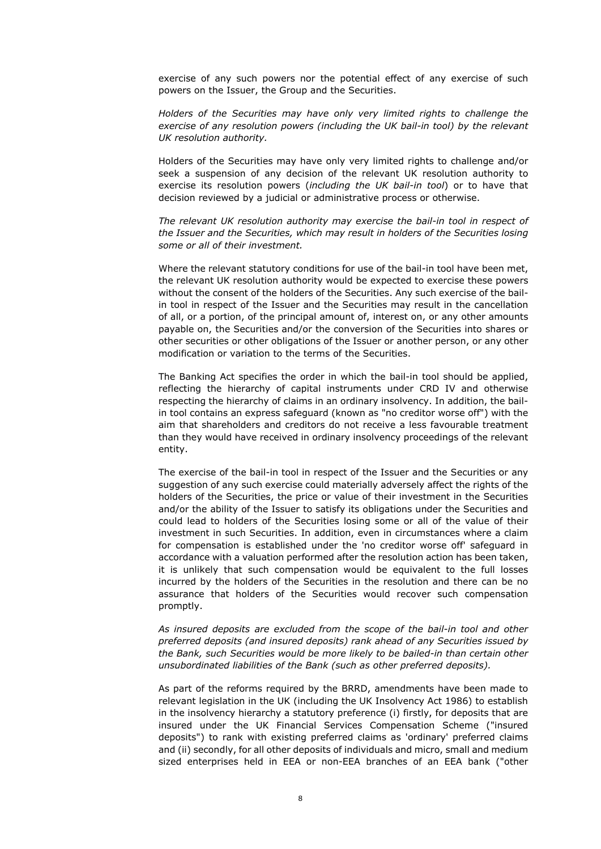exercise of any such powers nor the potential effect of any exercise of such powers on the Issuer, the Group and the Securities.

*Holders of the Securities may have only very limited rights to challenge the exercise of any resolution powers (including the UK bail-in tool) by the relevant UK resolution authority.* 

Holders of the Securities may have only very limited rights to challenge and/or seek a suspension of any decision of the relevant UK resolution authority to exercise its resolution powers (*including the UK bail-in tool*) or to have that decision reviewed by a judicial or administrative process or otherwise.

*The relevant UK resolution authority may exercise the bail-in tool in respect of the Issuer and the Securities, which may result in holders of the Securities losing some or all of their investment.* 

Where the relevant statutory conditions for use of the bail-in tool have been met, the relevant UK resolution authority would be expected to exercise these powers without the consent of the holders of the Securities. Any such exercise of the bailin tool in respect of the Issuer and the Securities may result in the cancellation of all, or a portion, of the principal amount of, interest on, or any other amounts payable on, the Securities and/or the conversion of the Securities into shares or other securities or other obligations of the Issuer or another person, or any other modification or variation to the terms of the Securities.

The Banking Act specifies the order in which the bail-in tool should be applied, reflecting the hierarchy of capital instruments under CRD IV and otherwise respecting the hierarchy of claims in an ordinary insolvency. In addition, the bailin tool contains an express safeguard (known as "no creditor worse off") with the aim that shareholders and creditors do not receive a less favourable treatment than they would have received in ordinary insolvency proceedings of the relevant entity.

The exercise of the bail-in tool in respect of the Issuer and the Securities or any suggestion of any such exercise could materially adversely affect the rights of the holders of the Securities, the price or value of their investment in the Securities and/or the ability of the Issuer to satisfy its obligations under the Securities and could lead to holders of the Securities losing some or all of the value of their investment in such Securities. In addition, even in circumstances where a claim for compensation is established under the 'no creditor worse off' safeguard in accordance with a valuation performed after the resolution action has been taken, it is unlikely that such compensation would be equivalent to the full losses incurred by the holders of the Securities in the resolution and there can be no assurance that holders of the Securities would recover such compensation promptly.

*As insured deposits are excluded from the scope of the bail-in tool and other preferred deposits (and insured deposits) rank ahead of any Securities issued by the Bank, such Securities would be more likely to be bailed-in than certain other unsubordinated liabilities of the Bank (such as other preferred deposits).* 

As part of the reforms required by the BRRD, amendments have been made to relevant legislation in the UK (including the UK Insolvency Act 1986) to establish in the insolvency hierarchy a statutory preference (i) firstly, for deposits that are insured under the UK Financial Services Compensation Scheme ("insured deposits") to rank with existing preferred claims as 'ordinary' preferred claims and (ii) secondly, for all other deposits of individuals and micro, small and medium sized enterprises held in EEA or non-EEA branches of an EEA bank ("other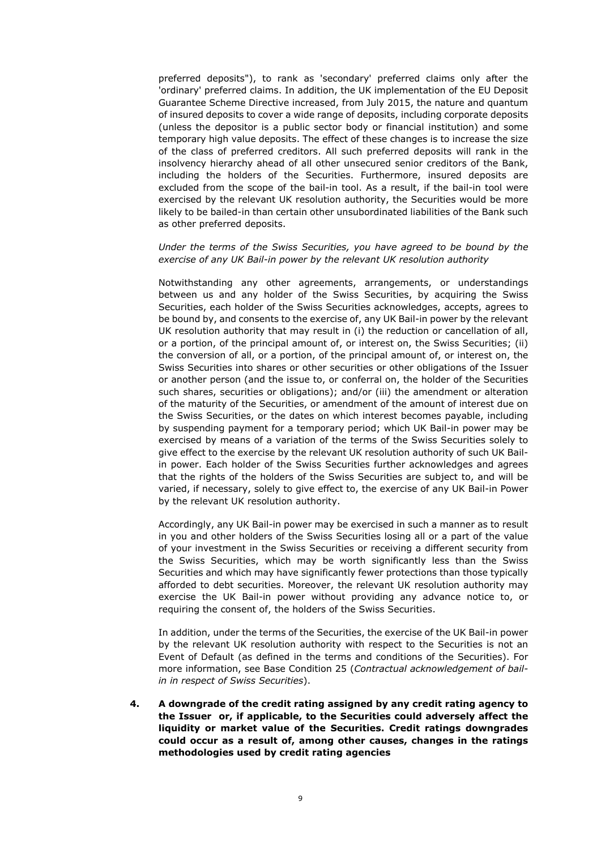preferred deposits"), to rank as 'secondary' preferred claims only after the 'ordinary' preferred claims. In addition, the UK implementation of the EU Deposit Guarantee Scheme Directive increased, from July 2015, the nature and quantum of insured deposits to cover a wide range of deposits, including corporate deposits (unless the depositor is a public sector body or financial institution) and some temporary high value deposits. The effect of these changes is to increase the size of the class of preferred creditors. All such preferred deposits will rank in the insolvency hierarchy ahead of all other unsecured senior creditors of the Bank, including the holders of the Securities. Furthermore, insured deposits are excluded from the scope of the bail-in tool. As a result, if the bail-in tool were exercised by the relevant UK resolution authority, the Securities would be more likely to be bailed-in than certain other unsubordinated liabilities of the Bank such as other preferred deposits.

### *Under the terms of the Swiss Securities, you have agreed to be bound by the exercise of any UK Bail-in power by the relevant UK resolution authority*

Notwithstanding any other agreements, arrangements, or understandings between us and any holder of the Swiss Securities, by acquiring the Swiss Securities, each holder of the Swiss Securities acknowledges, accepts, agrees to be bound by, and consents to the exercise of, any UK Bail-in power by the relevant UK resolution authority that may result in (i) the reduction or cancellation of all, or a portion, of the principal amount of, or interest on, the Swiss Securities; (ii) the conversion of all, or a portion, of the principal amount of, or interest on, the Swiss Securities into shares or other securities or other obligations of the Issuer or another person (and the issue to, or conferral on, the holder of the Securities such shares, securities or obligations); and/or (iii) the amendment or alteration of the maturity of the Securities, or amendment of the amount of interest due on the Swiss Securities, or the dates on which interest becomes payable, including by suspending payment for a temporary period; which UK Bail-in power may be exercised by means of a variation of the terms of the Swiss Securities solely to give effect to the exercise by the relevant UK resolution authority of such UK Bailin power. Each holder of the Swiss Securities further acknowledges and agrees that the rights of the holders of the Swiss Securities are subject to, and will be varied, if necessary, solely to give effect to, the exercise of any UK Bail-in Power by the relevant UK resolution authority.

Accordingly, any UK Bail-in power may be exercised in such a manner as to result in you and other holders of the Swiss Securities losing all or a part of the value of your investment in the Swiss Securities or receiving a different security from the Swiss Securities, which may be worth significantly less than the Swiss Securities and which may have significantly fewer protections than those typically afforded to debt securities. Moreover, the relevant UK resolution authority may exercise the UK Bail-in power without providing any advance notice to, or requiring the consent of, the holders of the Swiss Securities.

In addition, under the terms of the Securities, the exercise of the UK Bail-in power by the relevant UK resolution authority with respect to the Securities is not an Event of Default (as defined in the terms and conditions of the Securities). For more information, see Base Condition 25 (*Contractual acknowledgement of bailin in respect of Swiss Securities*).

**4. A downgrade of the credit rating assigned by any credit rating agency to the Issuer or, if applicable, to the Securities could adversely affect the liquidity or market value of the Securities. Credit ratings downgrades could occur as a result of, among other causes, changes in the ratings methodologies used by credit rating agencies**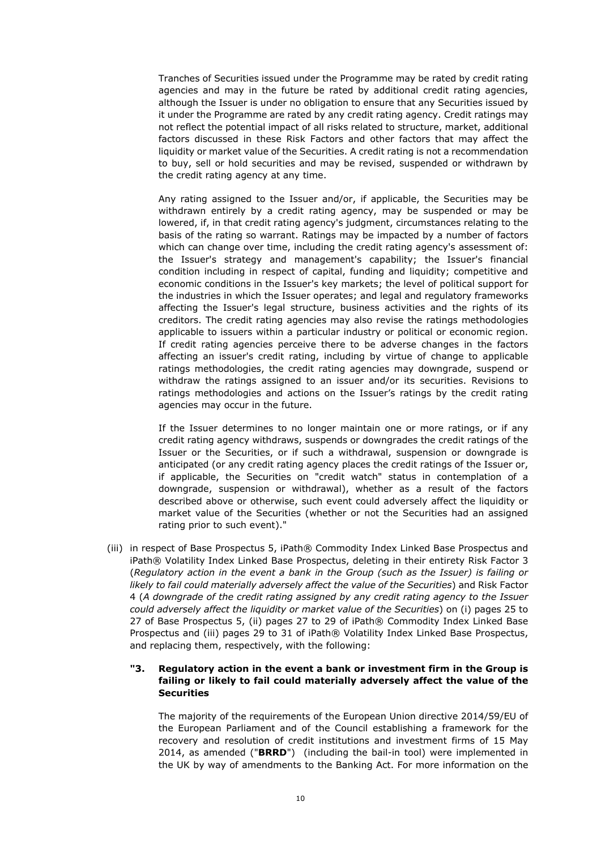Tranches of Securities issued under the Programme may be rated by credit rating agencies and may in the future be rated by additional credit rating agencies, although the Issuer is under no obligation to ensure that any Securities issued by it under the Programme are rated by any credit rating agency. Credit ratings may not reflect the potential impact of all risks related to structure, market, additional factors discussed in these Risk Factors and other factors that may affect the liquidity or market value of the Securities. A credit rating is not a recommendation to buy, sell or hold securities and may be revised, suspended or withdrawn by the credit rating agency at any time.

Any rating assigned to the Issuer and/or, if applicable, the Securities may be withdrawn entirely by a credit rating agency, may be suspended or may be lowered, if, in that credit rating agency's judgment, circumstances relating to the basis of the rating so warrant. Ratings may be impacted by a number of factors which can change over time, including the credit rating agency's assessment of: the Issuer's strategy and management's capability; the Issuer's financial condition including in respect of capital, funding and liquidity; competitive and economic conditions in the Issuer's key markets; the level of political support for the industries in which the Issuer operates; and legal and regulatory frameworks affecting the Issuer's legal structure, business activities and the rights of its creditors. The credit rating agencies may also revise the ratings methodologies applicable to issuers within a particular industry or political or economic region. If credit rating agencies perceive there to be adverse changes in the factors affecting an issuer's credit rating, including by virtue of change to applicable ratings methodologies, the credit rating agencies may downgrade, suspend or withdraw the ratings assigned to an issuer and/or its securities. Revisions to ratings methodologies and actions on the Issuer's ratings by the credit rating agencies may occur in the future.

If the Issuer determines to no longer maintain one or more ratings, or if any credit rating agency withdraws, suspends or downgrades the credit ratings of the Issuer or the Securities, or if such a withdrawal, suspension or downgrade is anticipated (or any credit rating agency places the credit ratings of the Issuer or, if applicable, the Securities on "credit watch" status in contemplation of a downgrade, suspension or withdrawal), whether as a result of the factors described above or otherwise, such event could adversely affect the liquidity or market value of the Securities (whether or not the Securities had an assigned rating prior to such event)."

(iii) in respect of Base Prospectus 5, iPath® Commodity Index Linked Base Prospectus and iPath® Volatility Index Linked Base Prospectus, deleting in their entirety Risk Factor 3 (*Regulatory action in the event a bank in the Group (such as the Issuer) is failing or likely to fail could materially adversely affect the value of the Securities*) and Risk Factor 4 (*A downgrade of the credit rating assigned by any credit rating agency to the Issuer could adversely affect the liquidity or market value of the Securities*) on (i) pages 25 to 27 of Base Prospectus 5, (ii) pages 27 to 29 of iPath® Commodity Index Linked Base Prospectus and (iii) pages 29 to 31 of iPath® Volatility Index Linked Base Prospectus, and replacing them, respectively, with the following:

## **"3. Regulatory action in the event a bank or investment firm in the Group is failing or likely to fail could materially adversely affect the value of the Securities**

The majority of the requirements of the European Union directive 2014/59/EU of the European Parliament and of the Council establishing a framework for the recovery and resolution of credit institutions and investment firms of 15 May 2014, as amended ("**BRRD**") (including the bail-in tool) were implemented in the UK by way of amendments to the Banking Act. For more information on the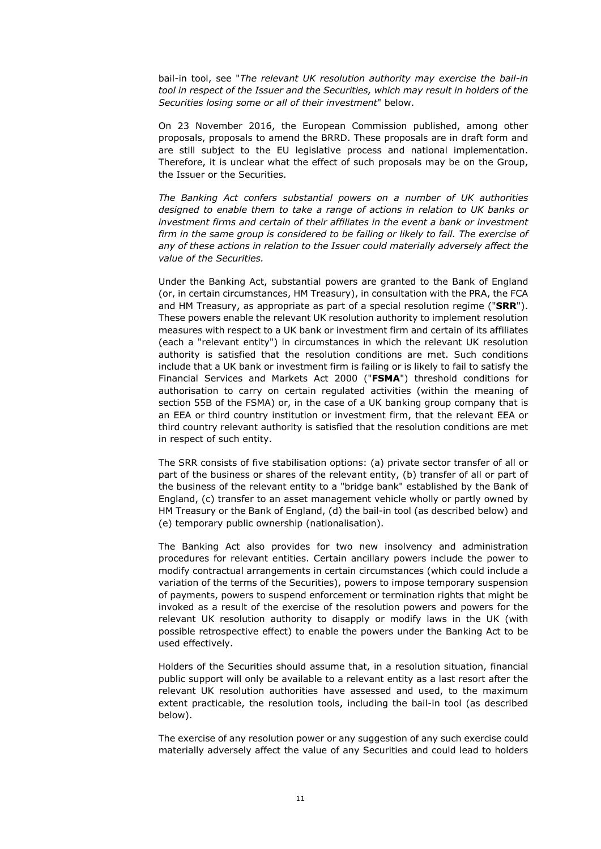bail-in tool, see "*The relevant UK resolution authority may exercise the bail-in tool in respect of the Issuer and the Securities, which may result in holders of the Securities losing some or all of their investment*" below.

On 23 November 2016, the European Commission published, among other proposals, proposals to amend the BRRD. These proposals are in draft form and are still subject to the EU legislative process and national implementation. Therefore, it is unclear what the effect of such proposals may be on the Group, the Issuer or the Securities.

*The Banking Act confers substantial powers on a number of UK authorities designed to enable them to take a range of actions in relation to UK banks or*  investment firms and certain of their affiliates in the event a bank or investment *firm in the same group is considered to be failing or likely to fail. The exercise of any of these actions in relation to the Issuer could materially adversely affect the value of the Securities.* 

Under the Banking Act, substantial powers are granted to the Bank of England (or, in certain circumstances, HM Treasury), in consultation with the PRA, the FCA and HM Treasury, as appropriate as part of a special resolution regime ("**SRR**"). These powers enable the relevant UK resolution authority to implement resolution measures with respect to a UK bank or investment firm and certain of its affiliates (each a "relevant entity") in circumstances in which the relevant UK resolution authority is satisfied that the resolution conditions are met. Such conditions include that a UK bank or investment firm is failing or is likely to fail to satisfy the Financial Services and Markets Act 2000 ("**FSMA**") threshold conditions for authorisation to carry on certain regulated activities (within the meaning of section 55B of the FSMA) or, in the case of a UK banking group company that is an EEA or third country institution or investment firm, that the relevant EEA or third country relevant authority is satisfied that the resolution conditions are met in respect of such entity.

The SRR consists of five stabilisation options: (a) private sector transfer of all or part of the business or shares of the relevant entity, (b) transfer of all or part of the business of the relevant entity to a "bridge bank" established by the Bank of England, (c) transfer to an asset management vehicle wholly or partly owned by HM Treasury or the Bank of England, (d) the bail-in tool (as described below) and (e) temporary public ownership (nationalisation).

The Banking Act also provides for two new insolvency and administration procedures for relevant entities. Certain ancillary powers include the power to modify contractual arrangements in certain circumstances (which could include a variation of the terms of the Securities), powers to impose temporary suspension of payments, powers to suspend enforcement or termination rights that might be invoked as a result of the exercise of the resolution powers and powers for the relevant UK resolution authority to disapply or modify laws in the UK (with possible retrospective effect) to enable the powers under the Banking Act to be used effectively.

Holders of the Securities should assume that, in a resolution situation, financial public support will only be available to a relevant entity as a last resort after the relevant UK resolution authorities have assessed and used, to the maximum extent practicable, the resolution tools, including the bail-in tool (as described below).

The exercise of any resolution power or any suggestion of any such exercise could materially adversely affect the value of any Securities and could lead to holders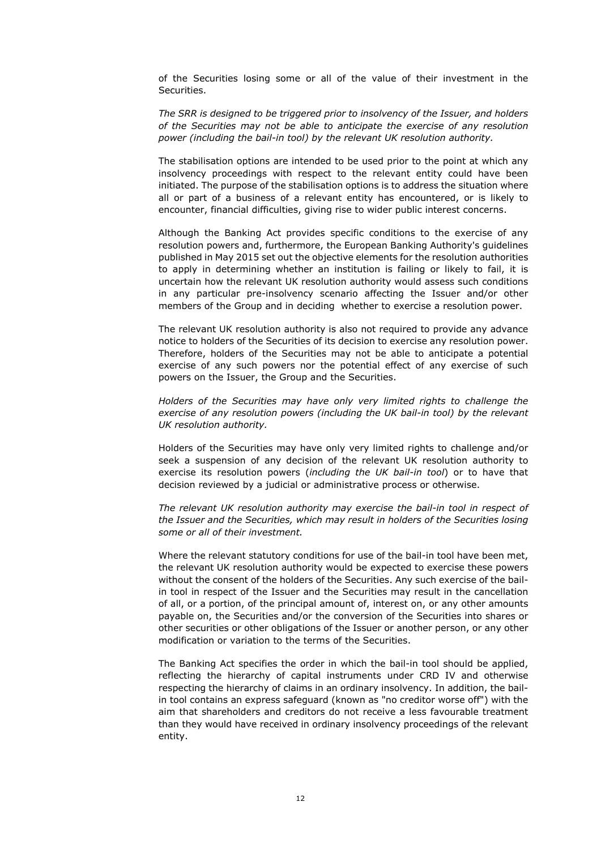of the Securities losing some or all of the value of their investment in the Securities.

*The SRR is designed to be triggered prior to insolvency of the Issuer, and holders of the Securities may not be able to anticipate the exercise of any resolution power (including the bail-in tool) by the relevant UK resolution authority.* 

The stabilisation options are intended to be used prior to the point at which any insolvency proceedings with respect to the relevant entity could have been initiated. The purpose of the stabilisation options is to address the situation where all or part of a business of a relevant entity has encountered, or is likely to encounter, financial difficulties, giving rise to wider public interest concerns.

Although the Banking Act provides specific conditions to the exercise of any resolution powers and, furthermore, the European Banking Authority's guidelines published in May 2015 set out the objective elements for the resolution authorities to apply in determining whether an institution is failing or likely to fail, it is uncertain how the relevant UK resolution authority would assess such conditions in any particular pre-insolvency scenario affecting the Issuer and/or other members of the Group and in deciding whether to exercise a resolution power.

The relevant UK resolution authority is also not required to provide any advance notice to holders of the Securities of its decision to exercise any resolution power. Therefore, holders of the Securities may not be able to anticipate a potential exercise of any such powers nor the potential effect of any exercise of such powers on the Issuer, the Group and the Securities.

*Holders of the Securities may have only very limited rights to challenge the exercise of any resolution powers (including the UK bail-in tool) by the relevant UK resolution authority.* 

Holders of the Securities may have only very limited rights to challenge and/or seek a suspension of any decision of the relevant UK resolution authority to exercise its resolution powers (*including the UK bail-in tool*) or to have that decision reviewed by a judicial or administrative process or otherwise.

*The relevant UK resolution authority may exercise the bail-in tool in respect of the Issuer and the Securities, which may result in holders of the Securities losing some or all of their investment.* 

Where the relevant statutory conditions for use of the bail-in tool have been met, the relevant UK resolution authority would be expected to exercise these powers without the consent of the holders of the Securities. Any such exercise of the bailin tool in respect of the Issuer and the Securities may result in the cancellation of all, or a portion, of the principal amount of, interest on, or any other amounts payable on, the Securities and/or the conversion of the Securities into shares or other securities or other obligations of the Issuer or another person, or any other modification or variation to the terms of the Securities.

The Banking Act specifies the order in which the bail-in tool should be applied, reflecting the hierarchy of capital instruments under CRD IV and otherwise respecting the hierarchy of claims in an ordinary insolvency. In addition, the bailin tool contains an express safeguard (known as "no creditor worse off") with the aim that shareholders and creditors do not receive a less favourable treatment than they would have received in ordinary insolvency proceedings of the relevant entity.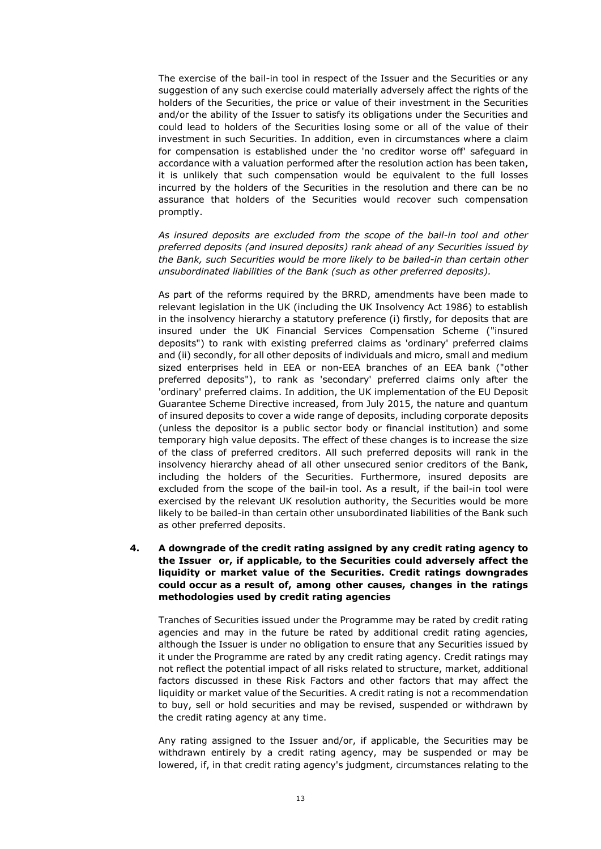The exercise of the bail-in tool in respect of the Issuer and the Securities or any suggestion of any such exercise could materially adversely affect the rights of the holders of the Securities, the price or value of their investment in the Securities and/or the ability of the Issuer to satisfy its obligations under the Securities and could lead to holders of the Securities losing some or all of the value of their investment in such Securities. In addition, even in circumstances where a claim for compensation is established under the 'no creditor worse off' safeguard in accordance with a valuation performed after the resolution action has been taken, it is unlikely that such compensation would be equivalent to the full losses incurred by the holders of the Securities in the resolution and there can be no assurance that holders of the Securities would recover such compensation promptly.

*As insured deposits are excluded from the scope of the bail-in tool and other preferred deposits (and insured deposits) rank ahead of any Securities issued by the Bank, such Securities would be more likely to be bailed-in than certain other unsubordinated liabilities of the Bank (such as other preferred deposits).* 

As part of the reforms required by the BRRD, amendments have been made to relevant legislation in the UK (including the UK Insolvency Act 1986) to establish in the insolvency hierarchy a statutory preference (i) firstly, for deposits that are insured under the UK Financial Services Compensation Scheme ("insured deposits") to rank with existing preferred claims as 'ordinary' preferred claims and (ii) secondly, for all other deposits of individuals and micro, small and medium sized enterprises held in EEA or non-EEA branches of an EEA bank ("other preferred deposits"), to rank as 'secondary' preferred claims only after the 'ordinary' preferred claims. In addition, the UK implementation of the EU Deposit Guarantee Scheme Directive increased, from July 2015, the nature and quantum of insured deposits to cover a wide range of deposits, including corporate deposits (unless the depositor is a public sector body or financial institution) and some temporary high value deposits. The effect of these changes is to increase the size of the class of preferred creditors. All such preferred deposits will rank in the insolvency hierarchy ahead of all other unsecured senior creditors of the Bank, including the holders of the Securities. Furthermore, insured deposits are excluded from the scope of the bail-in tool. As a result, if the bail-in tool were exercised by the relevant UK resolution authority, the Securities would be more likely to be bailed-in than certain other unsubordinated liabilities of the Bank such as other preferred deposits.

**4. A downgrade of the credit rating assigned by any credit rating agency to the Issuer or, if applicable, to the Securities could adversely affect the liquidity or market value of the Securities. Credit ratings downgrades could occur as a result of, among other causes, changes in the ratings methodologies used by credit rating agencies** 

Tranches of Securities issued under the Programme may be rated by credit rating agencies and may in the future be rated by additional credit rating agencies, although the Issuer is under no obligation to ensure that any Securities issued by it under the Programme are rated by any credit rating agency. Credit ratings may not reflect the potential impact of all risks related to structure, market, additional factors discussed in these Risk Factors and other factors that may affect the liquidity or market value of the Securities. A credit rating is not a recommendation to buy, sell or hold securities and may be revised, suspended or withdrawn by the credit rating agency at any time.

Any rating assigned to the Issuer and/or, if applicable, the Securities may be withdrawn entirely by a credit rating agency, may be suspended or may be lowered, if, in that credit rating agency's judgment, circumstances relating to the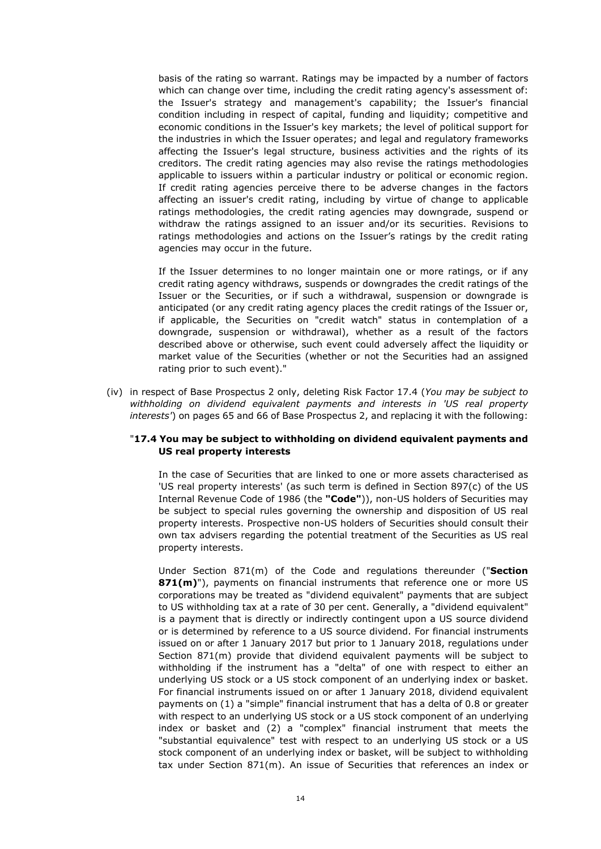basis of the rating so warrant. Ratings may be impacted by a number of factors which can change over time, including the credit rating agency's assessment of: the Issuer's strategy and management's capability; the Issuer's financial condition including in respect of capital, funding and liquidity; competitive and economic conditions in the Issuer's key markets; the level of political support for the industries in which the Issuer operates; and legal and regulatory frameworks affecting the Issuer's legal structure, business activities and the rights of its creditors. The credit rating agencies may also revise the ratings methodologies applicable to issuers within a particular industry or political or economic region. If credit rating agencies perceive there to be adverse changes in the factors affecting an issuer's credit rating, including by virtue of change to applicable ratings methodologies, the credit rating agencies may downgrade, suspend or withdraw the ratings assigned to an issuer and/or its securities. Revisions to ratings methodologies and actions on the Issuer's ratings by the credit rating agencies may occur in the future.

If the Issuer determines to no longer maintain one or more ratings, or if any credit rating agency withdraws, suspends or downgrades the credit ratings of the Issuer or the Securities, or if such a withdrawal, suspension or downgrade is anticipated (or any credit rating agency places the credit ratings of the Issuer or, if applicable, the Securities on "credit watch" status in contemplation of a downgrade, suspension or withdrawal), whether as a result of the factors described above or otherwise, such event could adversely affect the liquidity or market value of the Securities (whether or not the Securities had an assigned rating prior to such event)."

(iv) in respect of Base Prospectus 2 only, deleting Risk Factor 17.4 (*You may be subject to withholding on dividend equivalent payments and interests in 'US real property interests'*) on pages 65 and 66 of Base Prospectus 2, and replacing it with the following:

## "**17.4 You may be subject to withholding on dividend equivalent payments and US real property interests**

In the case of Securities that are linked to one or more assets characterised as 'US real property interests' (as such term is defined in Section 897(c) of the US Internal Revenue Code of 1986 (the **"Code"**)), non-US holders of Securities may be subject to special rules governing the ownership and disposition of US real property interests. Prospective non-US holders of Securities should consult their own tax advisers regarding the potential treatment of the Securities as US real property interests.

Under Section 871(m) of the Code and regulations thereunder ("**Section 871(m)**"), payments on financial instruments that reference one or more US corporations may be treated as "dividend equivalent" payments that are subject to US withholding tax at a rate of 30 per cent. Generally, a "dividend equivalent" is a payment that is directly or indirectly contingent upon a US source dividend or is determined by reference to a US source dividend. For financial instruments issued on or after 1 January 2017 but prior to 1 January 2018, regulations under Section 871(m) provide that dividend equivalent payments will be subject to withholding if the instrument has a "delta" of one with respect to either an underlying US stock or a US stock component of an underlying index or basket. For financial instruments issued on or after 1 January 2018, dividend equivalent payments on (1) a "simple" financial instrument that has a delta of 0.8 or greater with respect to an underlying US stock or a US stock component of an underlying index or basket and (2) a "complex" financial instrument that meets the "substantial equivalence" test with respect to an underlying US stock or a US stock component of an underlying index or basket, will be subject to withholding tax under Section 871(m). An issue of Securities that references an index or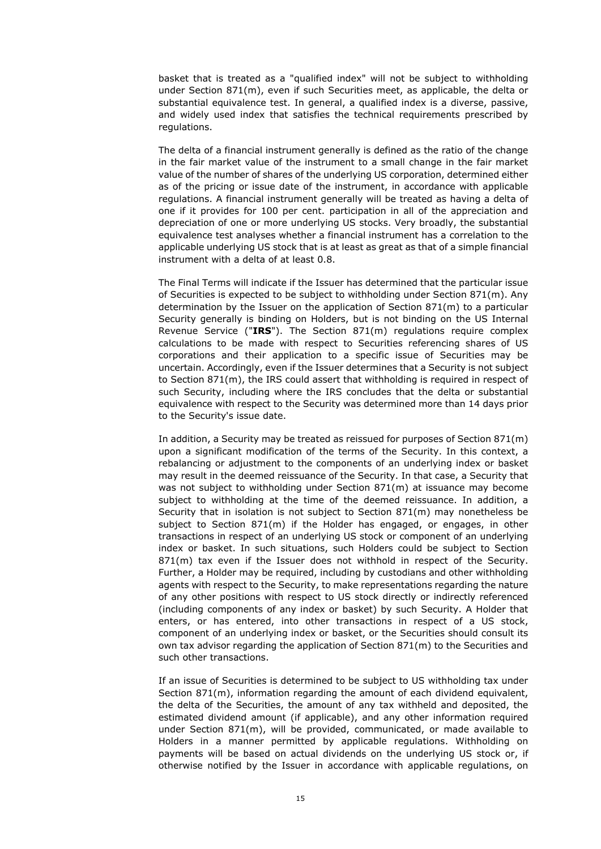basket that is treated as a "qualified index" will not be subject to withholding under Section 871(m), even if such Securities meet, as applicable, the delta or substantial equivalence test. In general, a qualified index is a diverse, passive, and widely used index that satisfies the technical requirements prescribed by regulations.

The delta of a financial instrument generally is defined as the ratio of the change in the fair market value of the instrument to a small change in the fair market value of the number of shares of the underlying US corporation, determined either as of the pricing or issue date of the instrument, in accordance with applicable regulations. A financial instrument generally will be treated as having a delta of one if it provides for 100 per cent. participation in all of the appreciation and depreciation of one or more underlying US stocks. Very broadly, the substantial equivalence test analyses whether a financial instrument has a correlation to the applicable underlying US stock that is at least as great as that of a simple financial instrument with a delta of at least 0.8.

The Final Terms will indicate if the Issuer has determined that the particular issue of Securities is expected to be subject to withholding under Section 871(m). Any determination by the Issuer on the application of Section 871(m) to a particular Security generally is binding on Holders, but is not binding on the US Internal Revenue Service ("**IRS**"). The Section 871(m) regulations require complex calculations to be made with respect to Securities referencing shares of US corporations and their application to a specific issue of Securities may be uncertain. Accordingly, even if the Issuer determines that a Security is not subject to Section 871(m), the IRS could assert that withholding is required in respect of such Security, including where the IRS concludes that the delta or substantial equivalence with respect to the Security was determined more than 14 days prior to the Security's issue date.

In addition, a Security may be treated as reissued for purposes of Section 871(m) upon a significant modification of the terms of the Security. In this context, a rebalancing or adjustment to the components of an underlying index or basket may result in the deemed reissuance of the Security. In that case, a Security that was not subject to withholding under Section 871(m) at issuance may become subject to withholding at the time of the deemed reissuance. In addition, a Security that in isolation is not subject to Section 871(m) may nonetheless be subject to Section 871(m) if the Holder has engaged, or engages, in other transactions in respect of an underlying US stock or component of an underlying index or basket. In such situations, such Holders could be subject to Section 871(m) tax even if the Issuer does not withhold in respect of the Security. Further, a Holder may be required, including by custodians and other withholding agents with respect to the Security, to make representations regarding the nature of any other positions with respect to US stock directly or indirectly referenced (including components of any index or basket) by such Security. A Holder that enters, or has entered, into other transactions in respect of a US stock, component of an underlying index or basket, or the Securities should consult its own tax advisor regarding the application of Section 871(m) to the Securities and such other transactions.

If an issue of Securities is determined to be subject to US withholding tax under Section 871(m), information regarding the amount of each dividend equivalent, the delta of the Securities, the amount of any tax withheld and deposited, the estimated dividend amount (if applicable), and any other information required under Section 871(m), will be provided, communicated, or made available to Holders in a manner permitted by applicable regulations. Withholding on payments will be based on actual dividends on the underlying US stock or, if otherwise notified by the Issuer in accordance with applicable regulations, on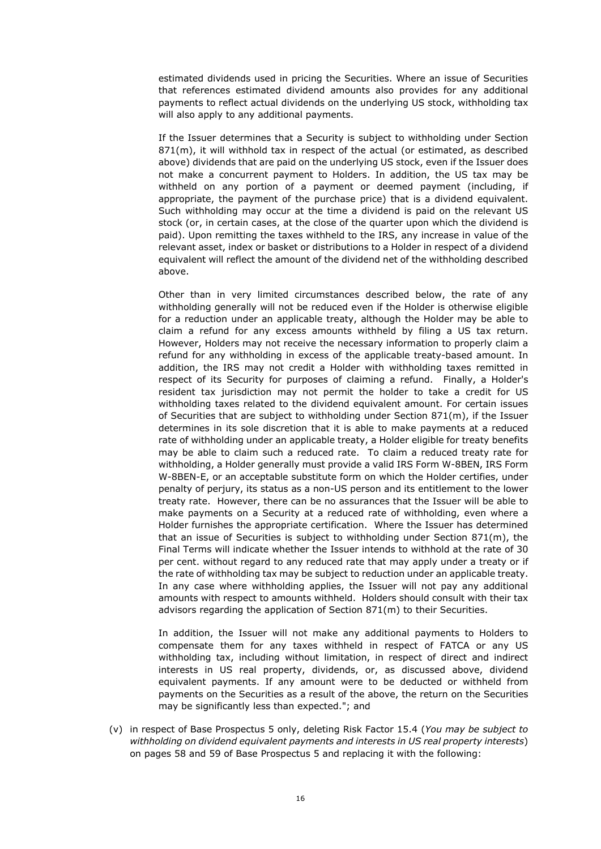estimated dividends used in pricing the Securities. Where an issue of Securities that references estimated dividend amounts also provides for any additional payments to reflect actual dividends on the underlying US stock, withholding tax will also apply to any additional payments.

If the Issuer determines that a Security is subject to withholding under Section 871(m), it will withhold tax in respect of the actual (or estimated, as described above) dividends that are paid on the underlying US stock, even if the Issuer does not make a concurrent payment to Holders. In addition, the US tax may be withheld on any portion of a payment or deemed payment (including, if appropriate, the payment of the purchase price) that is a dividend equivalent. Such withholding may occur at the time a dividend is paid on the relevant US stock (or, in certain cases, at the close of the quarter upon which the dividend is paid). Upon remitting the taxes withheld to the IRS, any increase in value of the relevant asset, index or basket or distributions to a Holder in respect of a dividend equivalent will reflect the amount of the dividend net of the withholding described above.

Other than in very limited circumstances described below, the rate of any withholding generally will not be reduced even if the Holder is otherwise eligible for a reduction under an applicable treaty, although the Holder may be able to claim a refund for any excess amounts withheld by filing a US tax return. However, Holders may not receive the necessary information to properly claim a refund for any withholding in excess of the applicable treaty-based amount. In addition, the IRS may not credit a Holder with withholding taxes remitted in respect of its Security for purposes of claiming a refund. Finally, a Holder's resident tax jurisdiction may not permit the holder to take a credit for US withholding taxes related to the dividend equivalent amount. For certain issues of Securities that are subject to withholding under Section 871(m), if the Issuer determines in its sole discretion that it is able to make payments at a reduced rate of withholding under an applicable treaty, a Holder eligible for treaty benefits may be able to claim such a reduced rate. To claim a reduced treaty rate for withholding, a Holder generally must provide a valid IRS Form W-8BEN, IRS Form W-8BEN-E, or an acceptable substitute form on which the Holder certifies, under penalty of perjury, its status as a non-US person and its entitlement to the lower treaty rate. However, there can be no assurances that the Issuer will be able to make payments on a Security at a reduced rate of withholding, even where a Holder furnishes the appropriate certification. Where the Issuer has determined that an issue of Securities is subject to withholding under Section 871(m), the Final Terms will indicate whether the Issuer intends to withhold at the rate of 30 per cent. without regard to any reduced rate that may apply under a treaty or if the rate of withholding tax may be subject to reduction under an applicable treaty. In any case where withholding applies, the Issuer will not pay any additional amounts with respect to amounts withheld. Holders should consult with their tax advisors regarding the application of Section 871(m) to their Securities.

In addition, the Issuer will not make any additional payments to Holders to compensate them for any taxes withheld in respect of FATCA or any US withholding tax, including without limitation, in respect of direct and indirect interests in US real property, dividends, or, as discussed above, dividend equivalent payments. If any amount were to be deducted or withheld from payments on the Securities as a result of the above, the return on the Securities may be significantly less than expected."; and

(v) in respect of Base Prospectus 5 only, deleting Risk Factor 15.4 (*You may be subject to withholding on dividend equivalent payments and interests in US real property interests*) on pages 58 and 59 of Base Prospectus 5 and replacing it with the following: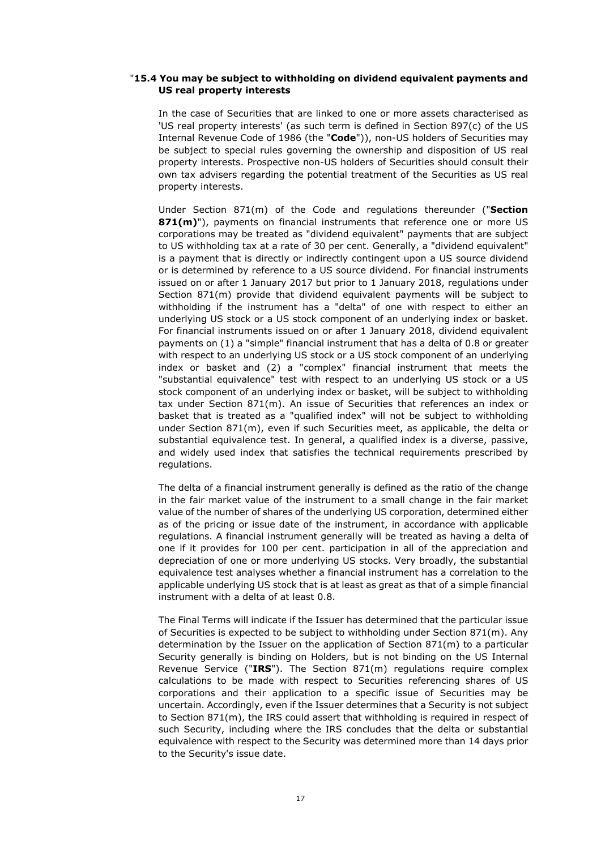#### "**15.4 You may be subject to withholding on dividend equivalent payments and US real property interests**

In the case of Securities that are linked to one or more assets characterised as 'US real property interests' (as such term is defined in Section 897(c) of the US Internal Revenue Code of 1986 (the "**Code**")), non-US holders of Securities may be subject to special rules governing the ownership and disposition of US real property interests. Prospective non-US holders of Securities should consult their own tax advisers regarding the potential treatment of the Securities as US real property interests.

Under Section 871(m) of the Code and regulations thereunder ("**Section 871(m)**"), payments on financial instruments that reference one or more US corporations may be treated as "dividend equivalent" payments that are subject to US withholding tax at a rate of 30 per cent. Generally, a "dividend equivalent" is a payment that is directly or indirectly contingent upon a US source dividend or is determined by reference to a US source dividend. For financial instruments issued on or after 1 January 2017 but prior to 1 January 2018, regulations under Section 871(m) provide that dividend equivalent payments will be subject to withholding if the instrument has a "delta" of one with respect to either an underlying US stock or a US stock component of an underlying index or basket. For financial instruments issued on or after 1 January 2018, dividend equivalent payments on (1) a "simple" financial instrument that has a delta of 0.8 or greater with respect to an underlying US stock or a US stock component of an underlying index or basket and (2) a "complex" financial instrument that meets the "substantial equivalence" test with respect to an underlying US stock or a US stock component of an underlying index or basket, will be subject to withholding tax under Section 871(m). An issue of Securities that references an index or basket that is treated as a "qualified index" will not be subject to withholding under Section 871(m), even if such Securities meet, as applicable, the delta or substantial equivalence test. In general, a qualified index is a diverse, passive, and widely used index that satisfies the technical requirements prescribed by regulations.

The delta of a financial instrument generally is defined as the ratio of the change in the fair market value of the instrument to a small change in the fair market value of the number of shares of the underlying US corporation, determined either as of the pricing or issue date of the instrument, in accordance with applicable regulations. A financial instrument generally will be treated as having a delta of one if it provides for 100 per cent. participation in all of the appreciation and depreciation of one or more underlying US stocks. Very broadly, the substantial equivalence test analyses whether a financial instrument has a correlation to the applicable underlying US stock that is at least as great as that of a simple financial instrument with a delta of at least 0.8.

The Final Terms will indicate if the Issuer has determined that the particular issue of Securities is expected to be subject to withholding under Section 871(m). Any determination by the Issuer on the application of Section 871(m) to a particular Security generally is binding on Holders, but is not binding on the US Internal Revenue Service ("**IRS**"). The Section 871(m) regulations require complex calculations to be made with respect to Securities referencing shares of US corporations and their application to a specific issue of Securities may be uncertain. Accordingly, even if the Issuer determines that a Security is not subject to Section 871(m), the IRS could assert that withholding is required in respect of such Security, including where the IRS concludes that the delta or substantial equivalence with respect to the Security was determined more than 14 days prior to the Security's issue date.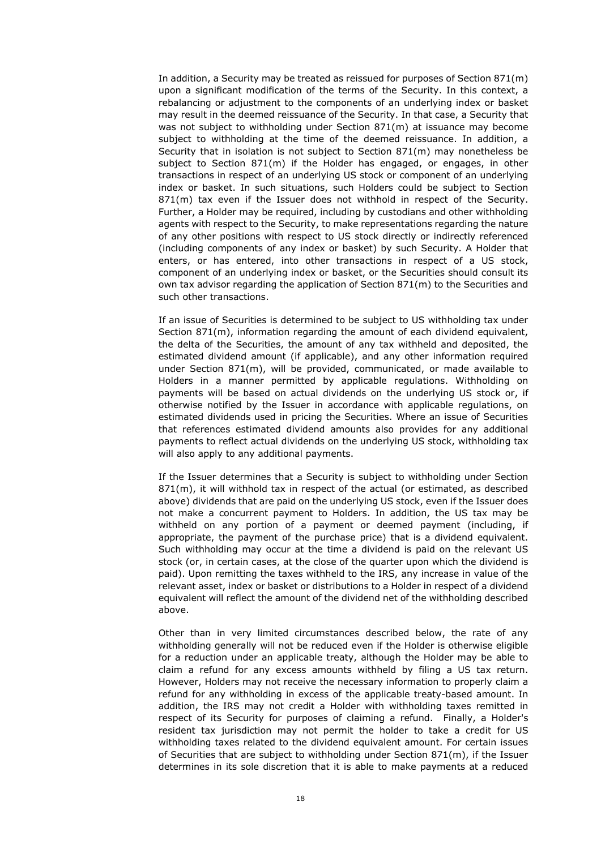In addition, a Security may be treated as reissued for purposes of Section 871(m) upon a significant modification of the terms of the Security. In this context, a rebalancing or adjustment to the components of an underlying index or basket may result in the deemed reissuance of the Security. In that case, a Security that was not subject to withholding under Section 871(m) at issuance may become subject to withholding at the time of the deemed reissuance. In addition, a Security that in isolation is not subject to Section 871(m) may nonetheless be subject to Section 871(m) if the Holder has engaged, or engages, in other transactions in respect of an underlying US stock or component of an underlying index or basket. In such situations, such Holders could be subject to Section 871(m) tax even if the Issuer does not withhold in respect of the Security. Further, a Holder may be required, including by custodians and other withholding agents with respect to the Security, to make representations regarding the nature of any other positions with respect to US stock directly or indirectly referenced (including components of any index or basket) by such Security. A Holder that enters, or has entered, into other transactions in respect of a US stock, component of an underlying index or basket, or the Securities should consult its own tax advisor regarding the application of Section 871(m) to the Securities and such other transactions.

If an issue of Securities is determined to be subject to US withholding tax under Section 871(m), information regarding the amount of each dividend equivalent, the delta of the Securities, the amount of any tax withheld and deposited, the estimated dividend amount (if applicable), and any other information required under Section 871(m), will be provided, communicated, or made available to Holders in a manner permitted by applicable regulations. Withholding on payments will be based on actual dividends on the underlying US stock or, if otherwise notified by the Issuer in accordance with applicable regulations, on estimated dividends used in pricing the Securities. Where an issue of Securities that references estimated dividend amounts also provides for any additional payments to reflect actual dividends on the underlying US stock, withholding tax will also apply to any additional payments.

If the Issuer determines that a Security is subject to withholding under Section  $871(m)$ , it will withhold tax in respect of the actual (or estimated, as described above) dividends that are paid on the underlying US stock, even if the Issuer does not make a concurrent payment to Holders. In addition, the US tax may be withheld on any portion of a payment or deemed payment (including, if appropriate, the payment of the purchase price) that is a dividend equivalent. Such withholding may occur at the time a dividend is paid on the relevant US stock (or, in certain cases, at the close of the quarter upon which the dividend is paid). Upon remitting the taxes withheld to the IRS, any increase in value of the relevant asset, index or basket or distributions to a Holder in respect of a dividend equivalent will reflect the amount of the dividend net of the withholding described above.

Other than in very limited circumstances described below, the rate of any withholding generally will not be reduced even if the Holder is otherwise eligible for a reduction under an applicable treaty, although the Holder may be able to claim a refund for any excess amounts withheld by filing a US tax return. However, Holders may not receive the necessary information to properly claim a refund for any withholding in excess of the applicable treaty-based amount. In addition, the IRS may not credit a Holder with withholding taxes remitted in respect of its Security for purposes of claiming a refund. Finally, a Holder's resident tax jurisdiction may not permit the holder to take a credit for US withholding taxes related to the dividend equivalent amount. For certain issues of Securities that are subject to withholding under Section 871(m), if the Issuer determines in its sole discretion that it is able to make payments at a reduced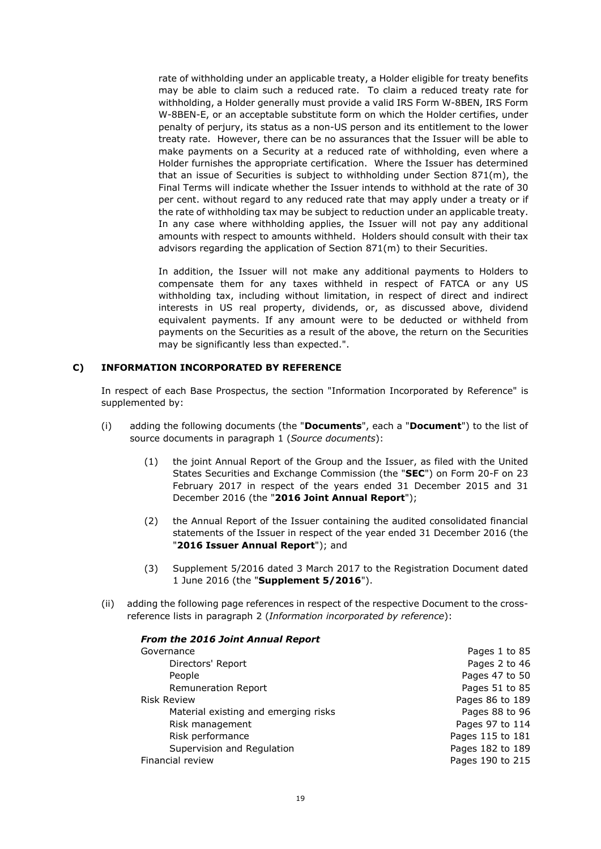rate of withholding under an applicable treaty, a Holder eligible for treaty benefits may be able to claim such a reduced rate. To claim a reduced treaty rate for withholding, a Holder generally must provide a valid IRS Form W-8BEN, IRS Form W-8BEN-E, or an acceptable substitute form on which the Holder certifies, under penalty of perjury, its status as a non-US person and its entitlement to the lower treaty rate. However, there can be no assurances that the Issuer will be able to make payments on a Security at a reduced rate of withholding, even where a Holder furnishes the appropriate certification. Where the Issuer has determined that an issue of Securities is subject to withholding under Section 871(m), the Final Terms will indicate whether the Issuer intends to withhold at the rate of 30 per cent. without regard to any reduced rate that may apply under a treaty or if the rate of withholding tax may be subject to reduction under an applicable treaty. In any case where withholding applies, the Issuer will not pay any additional amounts with respect to amounts withheld. Holders should consult with their tax advisors regarding the application of Section 871(m) to their Securities.

In addition, the Issuer will not make any additional payments to Holders to compensate them for any taxes withheld in respect of FATCA or any US withholding tax, including without limitation, in respect of direct and indirect interests in US real property, dividends, or, as discussed above, dividend equivalent payments. If any amount were to be deducted or withheld from payments on the Securities as a result of the above, the return on the Securities may be significantly less than expected.".

# **C) INFORMATION INCORPORATED BY REFERENCE**

In respect of each Base Prospectus, the section "Information Incorporated by Reference" is supplemented by:

- (i) adding the following documents (the "**Documents**", each a "**Document**") to the list of source documents in paragraph 1 (*Source documents*):
	- (1) the joint Annual Report of the Group and the Issuer, as filed with the United States Securities and Exchange Commission (the "**SEC**") on Form 20-F on 23 February 2017 in respect of the years ended 31 December 2015 and 31 December 2016 (the "**2016 Joint Annual Report**");
	- (2) the Annual Report of the Issuer containing the audited consolidated financial statements of the Issuer in respect of the year ended 31 December 2016 (the "**2016 Issuer Annual Report**"); and
	- (3) Supplement 5/2016 dated 3 March 2017 to the Registration Document dated 1 June 2016 (the "**Supplement 5/2016**").
- (ii) adding the following page references in respect of the respective Document to the crossreference lists in paragraph 2 (*Information incorporated by reference*):

| Pages 1 to 85    |
|------------------|
| Pages 2 to 46    |
| Pages 47 to 50   |
| Pages 51 to 85   |
| Pages 86 to 189  |
| Pages 88 to 96   |
| Pages 97 to 114  |
| Pages 115 to 181 |
| Pages 182 to 189 |
| Pages 190 to 215 |
|                  |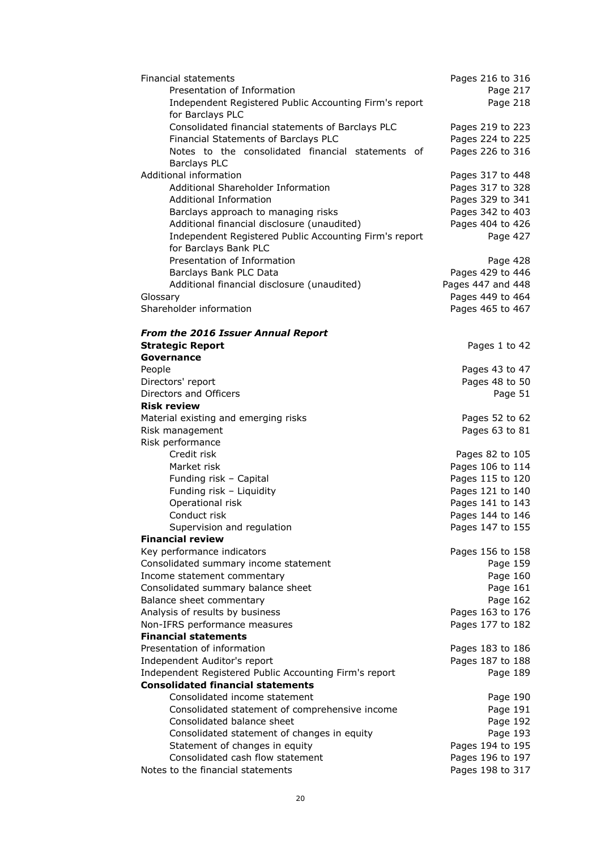| Financial statements                                   | Pages 216 to 316  |
|--------------------------------------------------------|-------------------|
| Presentation of Information                            | Page 217          |
| Independent Registered Public Accounting Firm's report | Page 218          |
| for Barclays PLC                                       |                   |
| Consolidated financial statements of Barclays PLC      | Pages 219 to 223  |
| Financial Statements of Barclays PLC                   | Pages 224 to 225  |
| Notes to the consolidated financial statements of      | Pages 226 to 316  |
| <b>Barclays PLC</b>                                    |                   |
| Additional information                                 | Pages 317 to 448  |
| Additional Shareholder Information                     | Pages 317 to 328  |
| <b>Additional Information</b>                          | Pages 329 to 341  |
| Barclays approach to managing risks                    | Pages 342 to 403  |
| Additional financial disclosure (unaudited)            | Pages 404 to 426  |
| Independent Registered Public Accounting Firm's report |                   |
|                                                        | Page 427          |
| for Barclays Bank PLC                                  |                   |
| Presentation of Information                            | Page 428          |
| Barclays Bank PLC Data                                 | Pages 429 to 446  |
| Additional financial disclosure (unaudited)            | Pages 447 and 448 |
| Glossary                                               | Pages 449 to 464  |
| Shareholder information                                | Pages 465 to 467  |
|                                                        |                   |
| <b>From the 2016 Issuer Annual Report</b>              |                   |
| <b>Strategic Report</b>                                | Pages 1 to 42     |
| Governance                                             |                   |
| People                                                 | Pages 43 to 47    |
| Directors' report                                      | Pages 48 to 50    |
| Directors and Officers                                 | Page 51           |
| <b>Risk review</b>                                     |                   |
| Material existing and emerging risks                   | Pages 52 to 62    |
| Risk management                                        | Pages 63 to 81    |
| Risk performance                                       |                   |
| Credit risk                                            | Pages 82 to 105   |
| Market risk                                            | Pages 106 to 114  |
| Funding risk - Capital                                 | Pages 115 to 120  |
| Funding risk - Liquidity                               | Pages 121 to 140  |
| Operational risk                                       | Pages 141 to 143  |
| Conduct risk                                           | Pages 144 to 146  |
| Supervision and regulation                             | Pages 147 to 155  |
| <b>Financial review</b>                                |                   |
| Key performance indicators                             | Pages 156 to 158  |
| Consolidated summary income statement                  | Page 159          |
| Income statement commentary                            | Page 160          |
| Consolidated summary balance sheet                     | Page 161          |
| Balance sheet commentary                               | Page 162          |
| Analysis of results by business                        | Pages 163 to 176  |
| Non-IFRS performance measures                          | Pages 177 to 182  |
| <b>Financial statements</b>                            |                   |
| Presentation of information                            | Pages 183 to 186  |
| Independent Auditor's report                           | Pages 187 to 188  |
| Independent Registered Public Accounting Firm's report | Page 189          |
| <b>Consolidated financial statements</b>               |                   |
| Consolidated income statement                          | Page 190          |
| Consolidated statement of comprehensive income         | Page 191          |
| Consolidated balance sheet                             | Page 192          |
| Consolidated statement of changes in equity            | Page 193          |
| Statement of changes in equity                         | Pages 194 to 195  |
| Consolidated cash flow statement                       | Pages 196 to 197  |
| Notes to the financial statements                      | Pages 198 to 317  |
|                                                        |                   |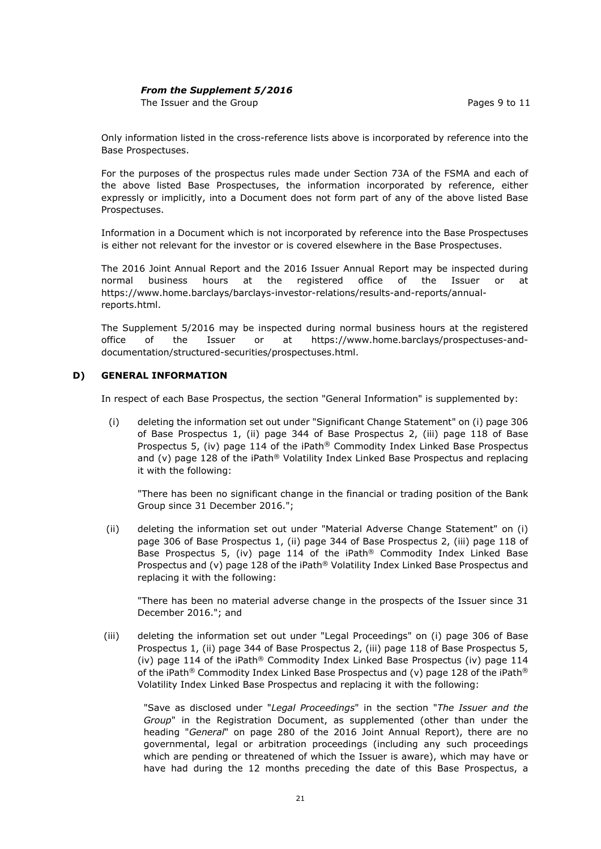# *From the Supplement 5/2016*

The Issuer and the Group **Pages** 9 to 11

Only information listed in the cross-reference lists above is incorporated by reference into the Base Prospectuses.

For the purposes of the prospectus rules made under Section 73A of the FSMA and each of the above listed Base Prospectuses, the information incorporated by reference, either expressly or implicitly, into a Document does not form part of any of the above listed Base Prospectuses.

Information in a Document which is not incorporated by reference into the Base Prospectuses is either not relevant for the investor or is covered elsewhere in the Base Prospectuses.

The 2016 Joint Annual Report and the 2016 Issuer Annual Report may be inspected during normal business hours at the registered office of the Issuer or at https://www.home.barclays/barclays-investor-relations/results-and-reports/annualreports.html.

The Supplement 5/2016 may be inspected during normal business hours at the registered office of the Issuer or at https://www.home.barclays/prospectuses-anddocumentation/structured-securities/prospectuses.html.

## **D) GENERAL INFORMATION**

In respect of each Base Prospectus, the section "General Information" is supplemented by:

(i) deleting the information set out under "Significant Change Statement" on (i) page 306 of Base Prospectus 1, (ii) page 344 of Base Prospectus 2, (iii) page 118 of Base Prospectus 5, (iv) page 114 of the iPath® Commodity Index Linked Base Prospectus and (v) page 128 of the iPath<sup>®</sup> Volatility Index Linked Base Prospectus and replacing it with the following:

"There has been no significant change in the financial or trading position of the Bank Group since 31 December 2016.";

(ii) deleting the information set out under "Material Adverse Change Statement" on (i) page 306 of Base Prospectus 1, (ii) page 344 of Base Prospectus 2, (iii) page 118 of Base Prospectus 5, (iv) page 114 of the iPath® Commodity Index Linked Base Prospectus and (v) page 128 of the iPath® Volatility Index Linked Base Prospectus and replacing it with the following:

"There has been no material adverse change in the prospects of the Issuer since 31 December 2016."; and

(iii) deleting the information set out under "Legal Proceedings" on (i) page 306 of Base Prospectus 1, (ii) page 344 of Base Prospectus 2, (iii) page 118 of Base Prospectus 5, (iv) page 114 of the iPath® Commodity Index Linked Base Prospectus (iv) page 114 of the iPath® Commodity Index Linked Base Prospectus and (v) page 128 of the iPath® Volatility Index Linked Base Prospectus and replacing it with the following:

"Save as disclosed under "*Legal Proceedings*" in the section "*The Issuer and the Group*" in the Registration Document, as supplemented (other than under the heading "*General*" on page 280 of the 2016 Joint Annual Report), there are no governmental, legal or arbitration proceedings (including any such proceedings which are pending or threatened of which the Issuer is aware), which may have or have had during the 12 months preceding the date of this Base Prospectus, a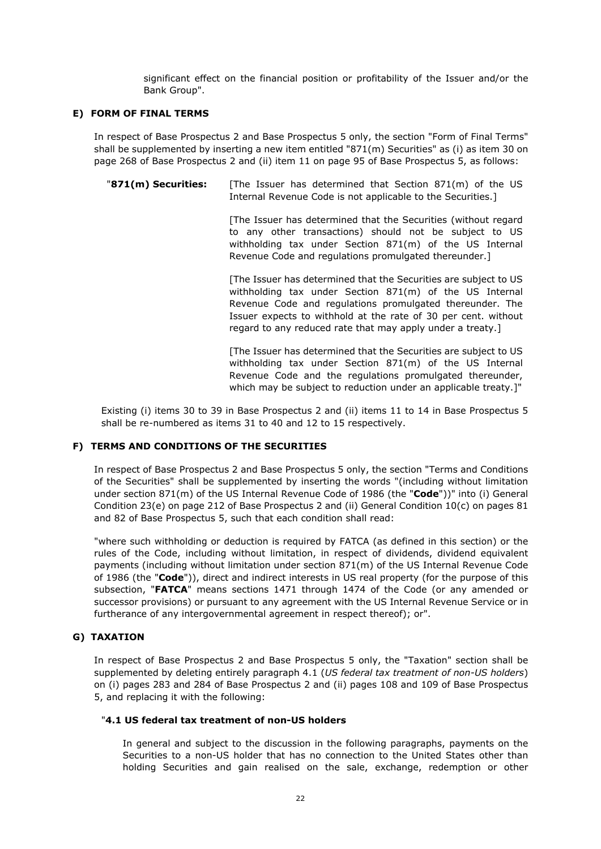significant effect on the financial position or profitability of the Issuer and/or the Bank Group".

#### **E) FORM OF FINAL TERMS**

In respect of Base Prospectus 2 and Base Prospectus 5 only, the section "Form of Final Terms" shall be supplemented by inserting a new item entitled "871(m) Securities" as (i) as item 30 on page 268 of Base Prospectus 2 and (ii) item 11 on page 95 of Base Prospectus 5, as follows:

"**871(m) Securities:** [The Issuer has determined that Section 871(m) of the US Internal Revenue Code is not applicable to the Securities.]

> [The Issuer has determined that the Securities (without regard to any other transactions) should not be subject to US withholding tax under Section 871(m) of the US Internal Revenue Code and regulations promulgated thereunder.]

> [The Issuer has determined that the Securities are subject to US withholding tax under Section 871(m) of the US Internal Revenue Code and regulations promulgated thereunder. The Issuer expects to withhold at the rate of 30 per cent. without regard to any reduced rate that may apply under a treaty.]

> [The Issuer has determined that the Securities are subject to US withholding tax under Section 871(m) of the US Internal Revenue Code and the regulations promulgated thereunder, which may be subject to reduction under an applicable treaty.]"

Existing (i) items 30 to 39 in Base Prospectus 2 and (ii) items 11 to 14 in Base Prospectus 5 shall be re-numbered as items 31 to 40 and 12 to 15 respectively.

# **F) TERMS AND CONDITIONS OF THE SECURITIES**

In respect of Base Prospectus 2 and Base Prospectus 5 only, the section "Terms and Conditions of the Securities" shall be supplemented by inserting the words "(including without limitation under section 871(m) of the US Internal Revenue Code of 1986 (the "**Code**"))" into (i) General Condition 23(e) on page 212 of Base Prospectus 2 and (ii) General Condition 10(c) on pages 81 and 82 of Base Prospectus 5, such that each condition shall read:

"where such withholding or deduction is required by FATCA (as defined in this section) or the rules of the Code, including without limitation, in respect of dividends, dividend equivalent payments (including without limitation under section 871(m) of the US Internal Revenue Code of 1986 (the "**Code**")), direct and indirect interests in US real property (for the purpose of this subsection, "**FATCA**" means sections 1471 through 1474 of the Code (or any amended or successor provisions) or pursuant to any agreement with the US Internal Revenue Service or in furtherance of any intergovernmental agreement in respect thereof); or".

# **G) TAXATION**

In respect of Base Prospectus 2 and Base Prospectus 5 only, the "Taxation" section shall be supplemented by deleting entirely paragraph 4.1 (*US federal tax treatment of non-US holders*) on (i) pages 283 and 284 of Base Prospectus 2 and (ii) pages 108 and 109 of Base Prospectus 5, and replacing it with the following:

#### "**4.1 US federal tax treatment of non-US holders**

In general and subject to the discussion in the following paragraphs, payments on the Securities to a non-US holder that has no connection to the United States other than holding Securities and gain realised on the sale, exchange, redemption or other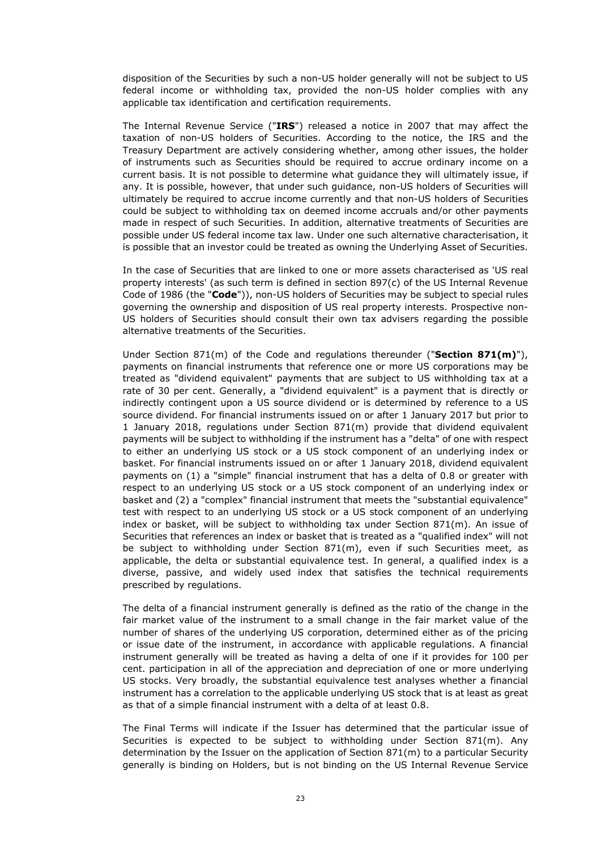disposition of the Securities by such a non-US holder generally will not be subject to US federal income or withholding tax, provided the non-US holder complies with any applicable tax identification and certification requirements.

The Internal Revenue Service ("**IRS**") released a notice in 2007 that may affect the taxation of non-US holders of Securities. According to the notice, the IRS and the Treasury Department are actively considering whether, among other issues, the holder of instruments such as Securities should be required to accrue ordinary income on a current basis. It is not possible to determine what guidance they will ultimately issue, if any. It is possible, however, that under such guidance, non-US holders of Securities will ultimately be required to accrue income currently and that non-US holders of Securities could be subject to withholding tax on deemed income accruals and/or other payments made in respect of such Securities. In addition, alternative treatments of Securities are possible under US federal income tax law. Under one such alternative characterisation, it is possible that an investor could be treated as owning the Underlying Asset of Securities.

In the case of Securities that are linked to one or more assets characterised as 'US real property interests' (as such term is defined in section 897(c) of the US Internal Revenue Code of 1986 (the "**Code**")), non-US holders of Securities may be subject to special rules governing the ownership and disposition of US real property interests. Prospective non-US holders of Securities should consult their own tax advisers regarding the possible alternative treatments of the Securities.

Under Section 871(m) of the Code and regulations thereunder ("**Section 871(m)**"), payments on financial instruments that reference one or more US corporations may be treated as "dividend equivalent" payments that are subject to US withholding tax at a rate of 30 per cent. Generally, a "dividend equivalent" is a payment that is directly or indirectly contingent upon a US source dividend or is determined by reference to a US source dividend. For financial instruments issued on or after 1 January 2017 but prior to 1 January 2018, regulations under Section 871(m) provide that dividend equivalent payments will be subject to withholding if the instrument has a "delta" of one with respect to either an underlying US stock or a US stock component of an underlying index or basket. For financial instruments issued on or after 1 January 2018, dividend equivalent payments on (1) a "simple" financial instrument that has a delta of 0.8 or greater with respect to an underlying US stock or a US stock component of an underlying index or basket and (2) a "complex" financial instrument that meets the "substantial equivalence" test with respect to an underlying US stock or a US stock component of an underlying index or basket, will be subject to withholding tax under Section 871(m). An issue of Securities that references an index or basket that is treated as a "qualified index" will not be subject to withholding under Section 871(m), even if such Securities meet, as applicable, the delta or substantial equivalence test. In general, a qualified index is a diverse, passive, and widely used index that satisfies the technical requirements prescribed by regulations.

The delta of a financial instrument generally is defined as the ratio of the change in the fair market value of the instrument to a small change in the fair market value of the number of shares of the underlying US corporation, determined either as of the pricing or issue date of the instrument, in accordance with applicable regulations. A financial instrument generally will be treated as having a delta of one if it provides for 100 per cent. participation in all of the appreciation and depreciation of one or more underlying US stocks. Very broadly, the substantial equivalence test analyses whether a financial instrument has a correlation to the applicable underlying US stock that is at least as great as that of a simple financial instrument with a delta of at least 0.8.

The Final Terms will indicate if the Issuer has determined that the particular issue of Securities is expected to be subject to withholding under Section 871(m). Any determination by the Issuer on the application of Section 871(m) to a particular Security generally is binding on Holders, but is not binding on the US Internal Revenue Service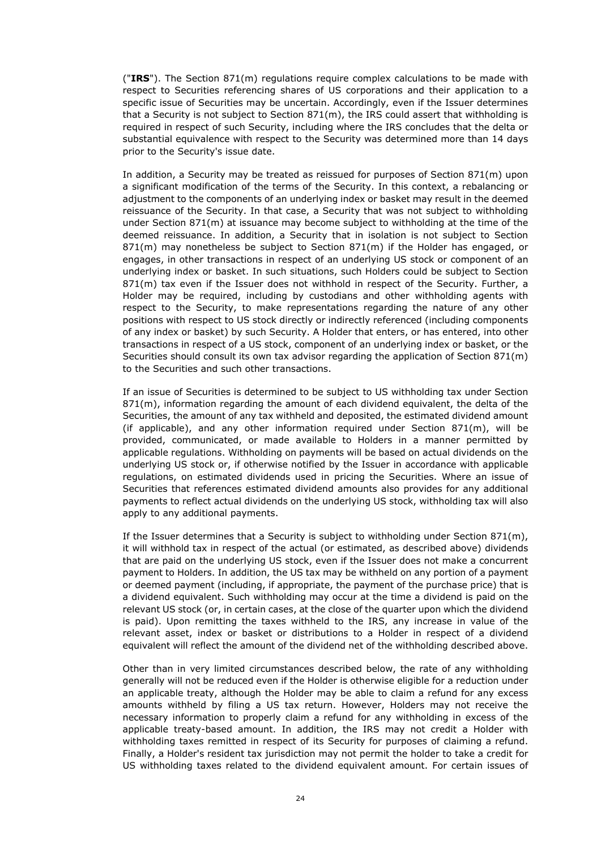("**IRS**"). The Section 871(m) regulations require complex calculations to be made with respect to Securities referencing shares of US corporations and their application to a specific issue of Securities may be uncertain. Accordingly, even if the Issuer determines that a Security is not subject to Section 871(m), the IRS could assert that withholding is required in respect of such Security, including where the IRS concludes that the delta or substantial equivalence with respect to the Security was determined more than 14 days prior to the Security's issue date.

In addition, a Security may be treated as reissued for purposes of Section 871(m) upon a significant modification of the terms of the Security. In this context, a rebalancing or adjustment to the components of an underlying index or basket may result in the deemed reissuance of the Security. In that case, a Security that was not subject to withholding under Section 871(m) at issuance may become subject to withholding at the time of the deemed reissuance. In addition, a Security that in isolation is not subject to Section  $871(m)$  may nonetheless be subject to Section  $871(m)$  if the Holder has engaged, or engages, in other transactions in respect of an underlying US stock or component of an underlying index or basket. In such situations, such Holders could be subject to Section 871(m) tax even if the Issuer does not withhold in respect of the Security. Further, a Holder may be required, including by custodians and other withholding agents with respect to the Security, to make representations regarding the nature of any other positions with respect to US stock directly or indirectly referenced (including components of any index or basket) by such Security. A Holder that enters, or has entered, into other transactions in respect of a US stock, component of an underlying index or basket, or the Securities should consult its own tax advisor regarding the application of Section 871(m) to the Securities and such other transactions.

If an issue of Securities is determined to be subject to US withholding tax under Section 871(m), information regarding the amount of each dividend equivalent, the delta of the Securities, the amount of any tax withheld and deposited, the estimated dividend amount (if applicable), and any other information required under Section  $871(m)$ , will be provided, communicated, or made available to Holders in a manner permitted by applicable regulations. Withholding on payments will be based on actual dividends on the underlying US stock or, if otherwise notified by the Issuer in accordance with applicable regulations, on estimated dividends used in pricing the Securities. Where an issue of Securities that references estimated dividend amounts also provides for any additional payments to reflect actual dividends on the underlying US stock, withholding tax will also apply to any additional payments.

If the Issuer determines that a Security is subject to withholding under Section 871(m), it will withhold tax in respect of the actual (or estimated, as described above) dividends that are paid on the underlying US stock, even if the Issuer does not make a concurrent payment to Holders. In addition, the US tax may be withheld on any portion of a payment or deemed payment (including, if appropriate, the payment of the purchase price) that is a dividend equivalent. Such withholding may occur at the time a dividend is paid on the relevant US stock (or, in certain cases, at the close of the quarter upon which the dividend is paid). Upon remitting the taxes withheld to the IRS, any increase in value of the relevant asset, index or basket or distributions to a Holder in respect of a dividend equivalent will reflect the amount of the dividend net of the withholding described above.

Other than in very limited circumstances described below, the rate of any withholding generally will not be reduced even if the Holder is otherwise eligible for a reduction under an applicable treaty, although the Holder may be able to claim a refund for any excess amounts withheld by filing a US tax return. However, Holders may not receive the necessary information to properly claim a refund for any withholding in excess of the applicable treaty-based amount. In addition, the IRS may not credit a Holder with withholding taxes remitted in respect of its Security for purposes of claiming a refund. Finally, a Holder's resident tax jurisdiction may not permit the holder to take a credit for US withholding taxes related to the dividend equivalent amount. For certain issues of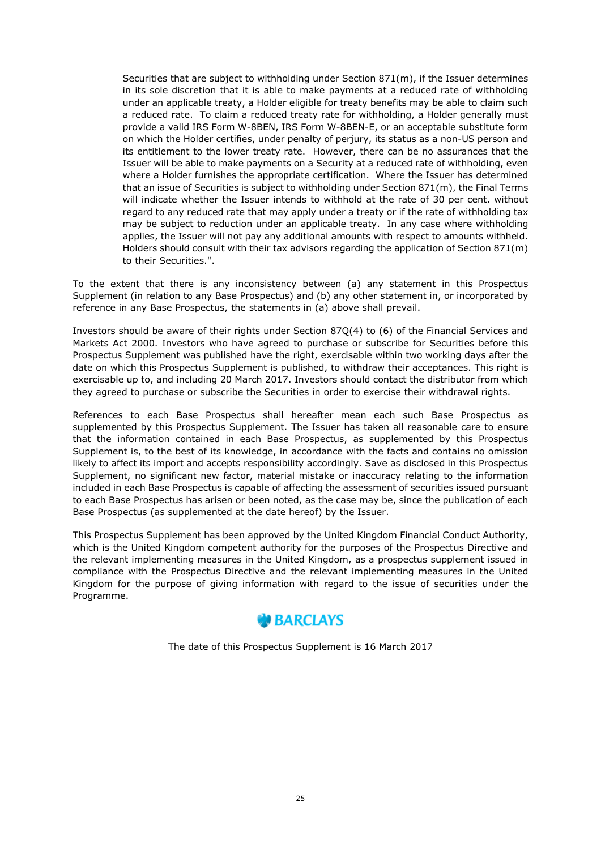Securities that are subject to withholding under Section 871(m), if the Issuer determines in its sole discretion that it is able to make payments at a reduced rate of withholding under an applicable treaty, a Holder eligible for treaty benefits may be able to claim such a reduced rate. To claim a reduced treaty rate for withholding, a Holder generally must provide a valid IRS Form W-8BEN, IRS Form W-8BEN-E, or an acceptable substitute form on which the Holder certifies, under penalty of perjury, its status as a non-US person and its entitlement to the lower treaty rate. However, there can be no assurances that the Issuer will be able to make payments on a Security at a reduced rate of withholding, even where a Holder furnishes the appropriate certification. Where the Issuer has determined that an issue of Securities is subject to withholding under Section 871(m), the Final Terms will indicate whether the Issuer intends to withhold at the rate of 30 per cent. without regard to any reduced rate that may apply under a treaty or if the rate of withholding tax may be subject to reduction under an applicable treaty. In any case where withholding applies, the Issuer will not pay any additional amounts with respect to amounts withheld. Holders should consult with their tax advisors regarding the application of Section 871(m) to their Securities.".

To the extent that there is any inconsistency between (a) any statement in this Prospectus Supplement (in relation to any Base Prospectus) and (b) any other statement in, or incorporated by reference in any Base Prospectus, the statements in (a) above shall prevail.

Investors should be aware of their rights under Section 87Q(4) to (6) of the Financial Services and Markets Act 2000. Investors who have agreed to purchase or subscribe for Securities before this Prospectus Supplement was published have the right, exercisable within two working days after the date on which this Prospectus Supplement is published, to withdraw their acceptances. This right is exercisable up to, and including 20 March 2017. Investors should contact the distributor from which they agreed to purchase or subscribe the Securities in order to exercise their withdrawal rights.

References to each Base Prospectus shall hereafter mean each such Base Prospectus as supplemented by this Prospectus Supplement. The Issuer has taken all reasonable care to ensure that the information contained in each Base Prospectus, as supplemented by this Prospectus Supplement is, to the best of its knowledge, in accordance with the facts and contains no omission likely to affect its import and accepts responsibility accordingly. Save as disclosed in this Prospectus Supplement, no significant new factor, material mistake or inaccuracy relating to the information included in each Base Prospectus is capable of affecting the assessment of securities issued pursuant to each Base Prospectus has arisen or been noted, as the case may be, since the publication of each Base Prospectus (as supplemented at the date hereof) by the Issuer.

This Prospectus Supplement has been approved by the United Kingdom Financial Conduct Authority, which is the United Kingdom competent authority for the purposes of the Prospectus Directive and the relevant implementing measures in the United Kingdom, as a prospectus supplement issued in compliance with the Prospectus Directive and the relevant implementing measures in the United Kingdom for the purpose of giving information with regard to the issue of securities under the Programme.



The date of this Prospectus Supplement is 16 March 2017